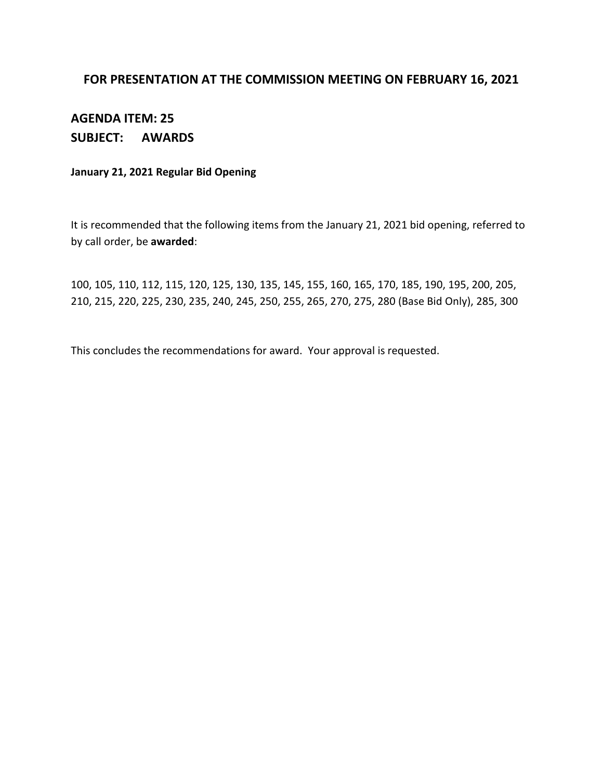#### **FOR PRESENTATION AT THE COMMISSION MEETING ON FEBRUARY 16, 2021**

## **AGENDA ITEM: 25 SUBJECT: AWARDS**

#### **January 21, 2021 Regular Bid Opening**

It is recommended that the following items from the January 21, 2021 bid opening, referred to by call order, be **awarded**:

100, 105, 110, 112, 115, 120, 125, 130, 135, 145, 155, 160, 165, 170, 185, 190, 195, 200, 205, 210, 215, 220, 225, 230, 235, 240, 245, 250, 255, 265, 270, 275, 280 (Base Bid Only), 285, 300

This concludes the recommendations for award. Your approval is requested.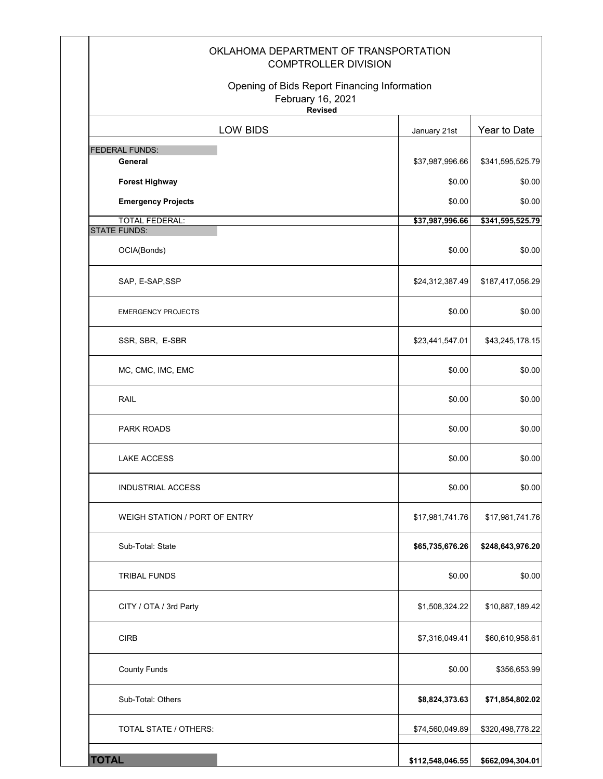| OKLAHOMA DEPARTMENT OF TRANSPORTATION<br><b>COMPTROLLER DIVISION</b>                |                  |                  |  |  |
|-------------------------------------------------------------------------------------|------------------|------------------|--|--|
| Opening of Bids Report Financing Information<br>February 16, 2021<br><b>Revised</b> |                  |                  |  |  |
| LOW BIDS                                                                            | January 21st     | Year to Date     |  |  |
| <b>FEDERAL FUNDS:</b>                                                               |                  |                  |  |  |
| General                                                                             | \$37,987,996.66  | \$341,595,525.79 |  |  |
| <b>Forest Highway</b><br><b>Emergency Projects</b>                                  | \$0.00<br>\$0.00 | \$0.00<br>\$0.00 |  |  |
| <b>TOTAL FEDERAL:</b>                                                               | \$37,987,996.66  | \$341,595,525.79 |  |  |
| <b>STATE FUNDS:</b>                                                                 |                  |                  |  |  |
| OCIA(Bonds)                                                                         | \$0.00           | \$0.00           |  |  |
| SAP, E-SAP, SSP                                                                     | \$24,312,387.49  | \$187,417,056.29 |  |  |
| <b>EMERGENCY PROJECTS</b>                                                           | \$0.00           | \$0.00           |  |  |
| SSR, SBR, E-SBR                                                                     | \$23,441,547.01  | \$43,245,178.15  |  |  |
| MC, CMC, IMC, EMC                                                                   | \$0.00           | \$0.00           |  |  |
| <b>RAIL</b>                                                                         | \$0.00           | \$0.00           |  |  |
| <b>PARK ROADS</b>                                                                   | \$0.00           | \$0.00           |  |  |
| <b>LAKE ACCESS</b>                                                                  | \$0.00           | \$0.00           |  |  |
| <b>INDUSTRIAL ACCESS</b>                                                            | \$0.00           | \$0.00           |  |  |
| WEIGH STATION / PORT OF ENTRY                                                       | \$17,981,741.76  | \$17,981,741.76  |  |  |
| Sub-Total: State                                                                    | \$65,735,676.26  | \$248,643,976.20 |  |  |
| <b>TRIBAL FUNDS</b>                                                                 | \$0.00           | \$0.00           |  |  |
| CITY / OTA / 3rd Party                                                              | \$1,508,324.22   | \$10,887,189.42  |  |  |
| <b>CIRB</b>                                                                         | \$7,316,049.41   | \$60,610,958.61  |  |  |
| <b>County Funds</b>                                                                 | \$0.00           | \$356,653.99     |  |  |
| Sub-Total: Others                                                                   | \$8,824,373.63   | \$71,854,802.02  |  |  |
| TOTAL STATE / OTHERS:                                                               | \$74,560,049.89  | \$320,498,778.22 |  |  |
| <b>TOTAL</b>                                                                        | \$112,548,046.55 | \$662,094,304.01 |  |  |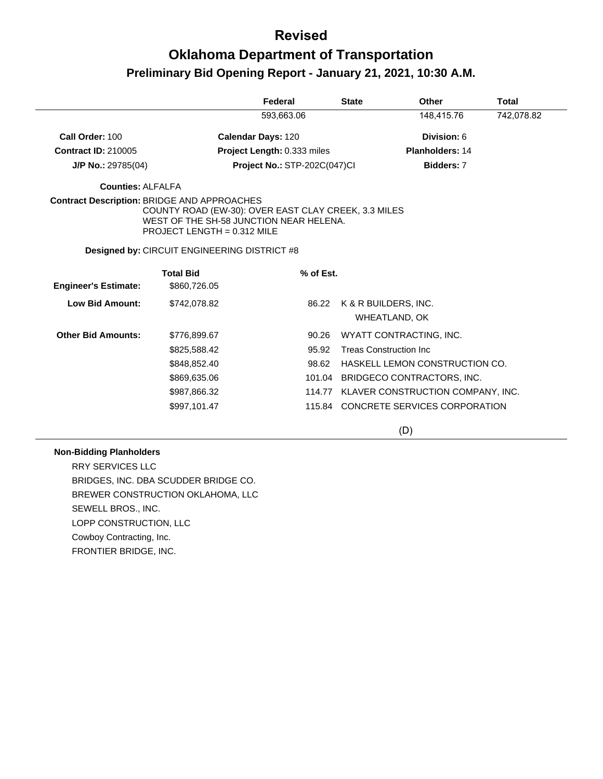## **Oklahoma Department of Transportation Preliminary Bid Opening Report - January 21, 2021, 10:30 A.M.**

|                             |                                                                                                                                                                                        | Federal                            |           | <b>State</b>                   | Other                                | <b>Total</b> |
|-----------------------------|----------------------------------------------------------------------------------------------------------------------------------------------------------------------------------------|------------------------------------|-----------|--------------------------------|--------------------------------------|--------------|
|                             |                                                                                                                                                                                        | 593,663.06                         |           |                                | 148,415.76                           | 742,078.82   |
| Call Order: 100             | Calendar Days: 120                                                                                                                                                                     |                                    |           |                                | Division: 6                          |              |
| <b>Contract ID: 210005</b>  |                                                                                                                                                                                        | <b>Project Length: 0.333 miles</b> |           |                                | <b>Planholders: 14</b>               |              |
| $J/P$ No.: 29785(04)        |                                                                                                                                                                                        | Project No.: STP-202C(047)Cl       |           |                                | <b>Bidders: 7</b>                    |              |
| <b>Counties: ALFALFA</b>    |                                                                                                                                                                                        |                                    |           |                                |                                      |              |
|                             | <b>Contract Description: BRIDGE AND APPROACHES</b><br>COUNTY ROAD (EW-30): OVER EAST CLAY CREEK, 3.3 MILES<br>WEST OF THE SH-58 JUNCTION NEAR HELENA.<br>PROJECT LENGTH = $0.312$ MILE |                                    |           |                                |                                      |              |
|                             | Designed by: CIRCUIT ENGINEERING DISTRICT #8                                                                                                                                           |                                    |           |                                |                                      |              |
| <b>Engineer's Estimate:</b> | <b>Total Bid</b><br>\$860,726.05                                                                                                                                                       |                                    | % of Est. |                                |                                      |              |
| <b>Low Bid Amount:</b>      | \$742,078.82                                                                                                                                                                           |                                    | 86.22     | K & R BUILDERS, INC.           | WHEATLAND, OK                        |              |
| <b>Other Bid Amounts:</b>   | \$776,899.67                                                                                                                                                                           |                                    | 90.26     |                                | WYATT CONTRACTING, INC.              |              |
|                             | \$825,588.42                                                                                                                                                                           |                                    | 95.92     | <b>Treas Construction Inc.</b> |                                      |              |
|                             | \$848,852,40                                                                                                                                                                           |                                    | 98.62     |                                | HASKELL LEMON CONSTRUCTION CO.       |              |
|                             | \$869,635.06                                                                                                                                                                           |                                    | 101.04    |                                | BRIDGECO CONTRACTORS, INC.           |              |
|                             | \$987,866.32                                                                                                                                                                           |                                    | 114.77    |                                | KLAVER CONSTRUCTION COMPANY, INC.    |              |
|                             | \$997,101.47                                                                                                                                                                           |                                    |           |                                | 115.84 CONCRETE SERVICES CORPORATION |              |

(D)

#### **Non-Bidding Planholders**

RRY SERVICES LLC BRIDGES, INC. DBA SCUDDER BRIDGE CO. BREWER CONSTRUCTION OKLAHOMA, LLC SEWELL BROS., INC. LOPP CONSTRUCTION, LLC Cowboy Contracting, Inc. FRONTIER BRIDGE, INC.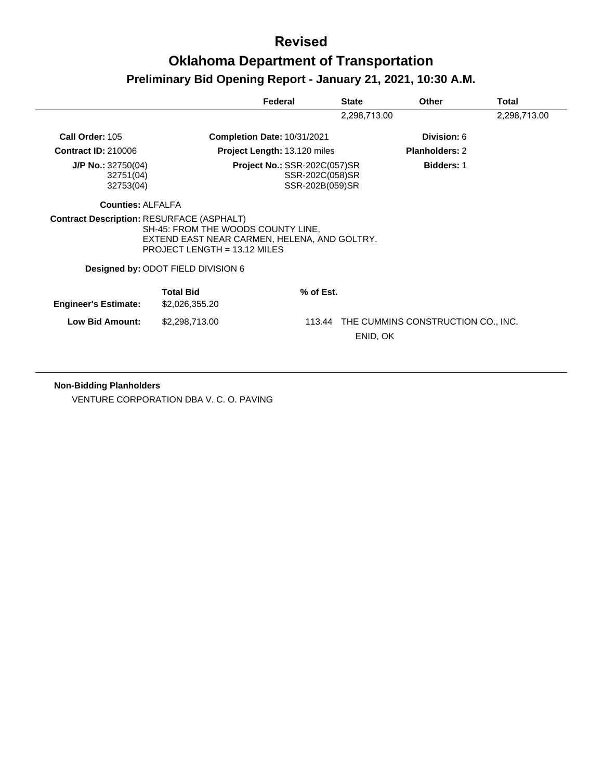|                                                  |                                                                                                                      | Federal                                                                                        | <b>State</b> | Other                              | Total        |
|--------------------------------------------------|----------------------------------------------------------------------------------------------------------------------|------------------------------------------------------------------------------------------------|--------------|------------------------------------|--------------|
|                                                  |                                                                                                                      |                                                                                                | 2,298,713.00 |                                    | 2,298,713.00 |
| Call Order: 105                                  |                                                                                                                      | <b>Completion Date: 10/31/2021</b>                                                             |              | Division: 6                        |              |
| <b>Contract ID: 210006</b>                       |                                                                                                                      | Project Length: 13.120 miles                                                                   |              | Planholders: 2                     |              |
| $J/P$ No.: 32750(04)<br>32751(04)<br>32753(04)   |                                                                                                                      | <b>Project No.: SSR-202C(057)SR</b><br><b>Bidders: 1</b><br>SSR-202C(058)SR<br>SSR-202B(059)SR |              |                                    |              |
| <b>Counties: ALFALFA</b>                         |                                                                                                                      |                                                                                                |              |                                    |              |
| <b>Contract Description: RESURFACE (ASPHALT)</b> | SH-45: FROM THE WOODS COUNTY LINE,<br>EXTEND EAST NEAR CARMEN, HELENA, AND GOLTRY.<br>PROJECT LENGTH = $13.12$ MILES |                                                                                                |              |                                    |              |
|                                                  | Designed by: ODOT FIELD DIVISION 6                                                                                   |                                                                                                |              |                                    |              |
| <b>Engineer's Estimate:</b>                      | <b>Total Bid</b><br>\$2,026,355.20                                                                                   | $%$ of Est.                                                                                    |              |                                    |              |
| <b>Low Bid Amount:</b>                           | \$2,298,713.00                                                                                                       | 113.44                                                                                         | ENID, OK     | THE CUMMINS CONSTRUCTION CO., INC. |              |

**Non-Bidding Planholders** VENTURE CORPORATION DBA V. C. O. PAVING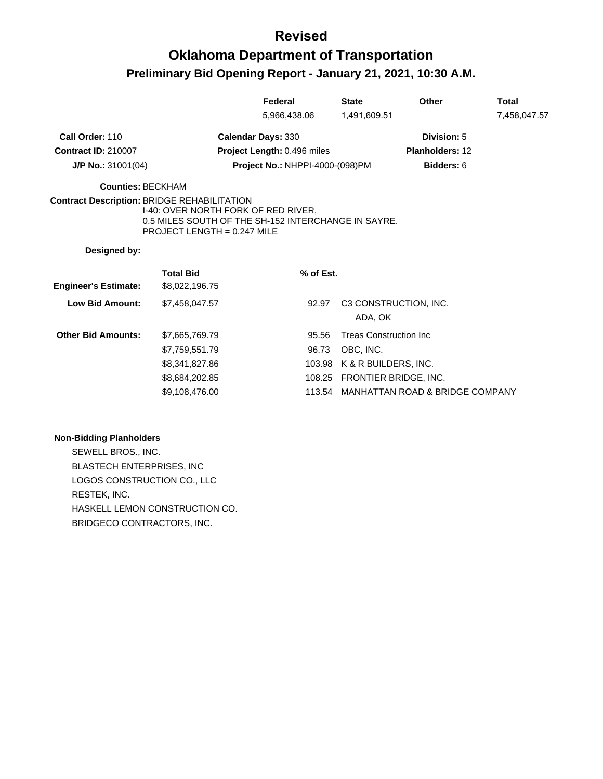## **Oklahoma Department of Transportation Preliminary Bid Opening Report - January 21, 2021, 10:30 A.M.**

|                                                    |                                                                                                                             | Federal                                | <b>State</b>                   | <b>Other</b>                    | Total        |
|----------------------------------------------------|-----------------------------------------------------------------------------------------------------------------------------|----------------------------------------|--------------------------------|---------------------------------|--------------|
|                                                    |                                                                                                                             | 5,966,438.06                           | 1,491,609.51                   |                                 | 7,458,047.57 |
| Call Order: 110                                    |                                                                                                                             | <b>Calendar Days: 330</b>              |                                | Division: 5                     |              |
| <b>Contract ID: 210007</b>                         |                                                                                                                             | Project Length: 0.496 miles            |                                | <b>Planholders: 12</b>          |              |
| $J/P$ No.: 31001(04)                               |                                                                                                                             | <b>Project No.: NHPPI-4000-(098)PM</b> |                                | Bidders: 6                      |              |
| Counties: BECKHAM                                  |                                                                                                                             |                                        |                                |                                 |              |
| <b>Contract Description: BRIDGE REHABILITATION</b> | I-40: OVER NORTH FORK OF RED RIVER,<br>0.5 MILES SOUTH OF THE SH-152 INTERCHANGE IN SAYRE.<br>PROJECT LENGTH = $0.247$ MILE |                                        |                                |                                 |              |
| Designed by:                                       |                                                                                                                             |                                        |                                |                                 |              |
| <b>Engineer's Estimate:</b>                        | <b>Total Bid</b><br>\$8,022,196.75                                                                                          | % of Est.                              |                                |                                 |              |
| <b>Low Bid Amount:</b>                             | \$7,458,047.57                                                                                                              | 92.97                                  | ADA, OK                        | C3 CONSTRUCTION, INC.           |              |
| <b>Other Bid Amounts:</b>                          | \$7,665,769.79                                                                                                              | 95.56                                  | <b>Treas Construction Inc.</b> |                                 |              |
|                                                    | \$7,759,551.79                                                                                                              | 96.73                                  | OBC, INC.                      |                                 |              |
|                                                    | \$8,341,827.86                                                                                                              | 103.98                                 |                                | K & R BUILDERS, INC.            |              |
|                                                    | \$8,684,202.85                                                                                                              | 108.25                                 |                                | <b>FRONTIER BRIDGE, INC.</b>    |              |
|                                                    | \$9,108,476.00                                                                                                              | 113.54                                 |                                | MANHATTAN ROAD & BRIDGE COMPANY |              |

#### **Non-Bidding Planholders**

SEWELL BROS., INC. BLASTECH ENTERPRISES, INC LOGOS CONSTRUCTION CO., LLC RESTEK, INC. HASKELL LEMON CONSTRUCTION CO. BRIDGECO CONTRACTORS, INC.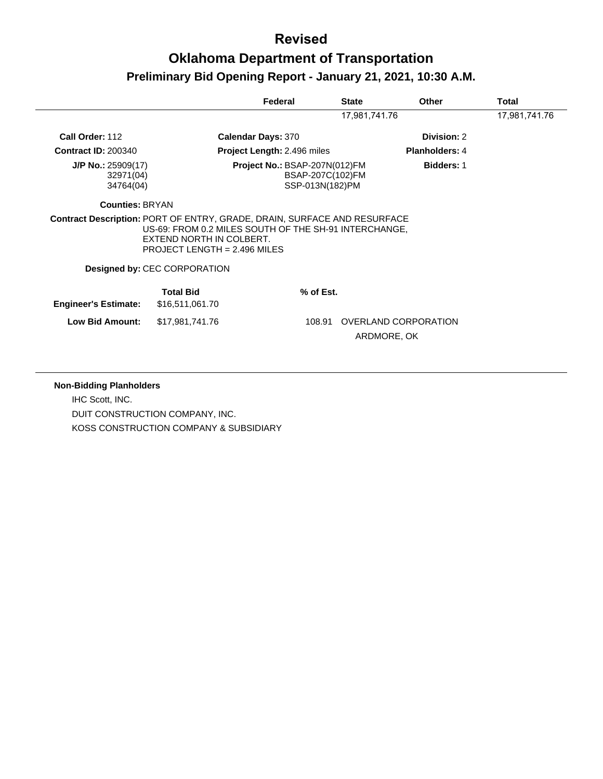# **Oklahoma Department of Transportation Preliminary Bid Opening Report - January 21, 2021, 10:30 A.M.**

|                                                                                 |                                                                                                                     | Federal                       | <b>State</b>                        | <b>Other</b>          | Total         |
|---------------------------------------------------------------------------------|---------------------------------------------------------------------------------------------------------------------|-------------------------------|-------------------------------------|-----------------------|---------------|
|                                                                                 |                                                                                                                     |                               | 17,981,741.76                       |                       | 17,981,741.76 |
| Call Order: 112                                                                 |                                                                                                                     | <b>Calendar Days: 370</b>     |                                     | Division: 2           |               |
| <b>Contract ID: 200340</b>                                                      |                                                                                                                     | Project Length: 2.496 miles   |                                     | <b>Planholders: 4</b> |               |
| $J/P$ No.: 25909(17)<br>32971(04)<br>34764(04)                                  |                                                                                                                     | Project No.: BSAP-207N(012)FM | BSAP-207C(102)FM<br>SSP-013N(182)PM | <b>Bidders: 1</b>     |               |
| <b>Counties: BRYAN</b>                                                          |                                                                                                                     |                               |                                     |                       |               |
| <b>Contract Description: PORT OF ENTRY, GRADE, DRAIN, SURFACE AND RESURFACE</b> |                                                                                                                     |                               |                                     |                       |               |
|                                                                                 | US-69: FROM 0.2 MILES SOUTH OF THE SH-91 INTERCHANGE,<br>EXTEND NORTH IN COLBERT.<br>PROJECT LENGTH = $2.496$ MILES |                               |                                     |                       |               |
|                                                                                 | <b>Designed by: CEC CORPORATION</b>                                                                                 |                               |                                     |                       |               |
| <b>Engineer's Estimate:</b>                                                     | <b>Total Bid</b><br>\$16,511,061.70                                                                                 |                               | % of Est.                           |                       |               |

**Non-Bidding Planholders** IHC Scott, INC. DUIT CONSTRUCTION COMPANY, INC. KOSS CONSTRUCTION COMPANY & SUBSIDIARY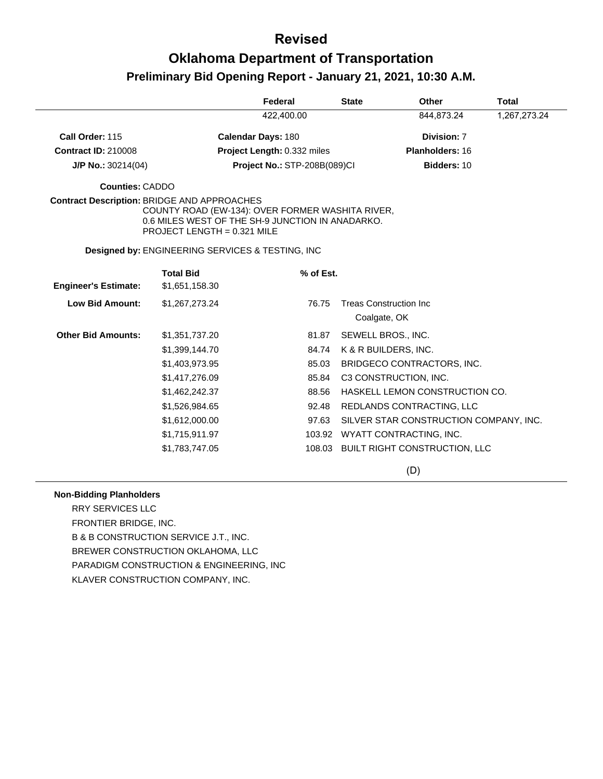# **Oklahoma Department of Transportation Preliminary Bid Opening Report - January 21, 2021, 10:30 A.M.**

|                                                    |                                                                                                                                       | Federal                             | <b>State</b> | Other                                  | <b>Total</b> |
|----------------------------------------------------|---------------------------------------------------------------------------------------------------------------------------------------|-------------------------------------|--------------|----------------------------------------|--------------|
|                                                    |                                                                                                                                       | 422,400.00                          |              | 844,873.24                             | 1,267,273.24 |
| Call Order: 115                                    |                                                                                                                                       | <b>Calendar Days: 180</b>           |              | Division: 7                            |              |
| <b>Contract ID: 210008</b>                         |                                                                                                                                       | Project Length: 0.332 miles         |              | Planholders: 16                        |              |
| $J/P$ No.: 30214(04)                               |                                                                                                                                       | <b>Project No.: STP-208B(089)CI</b> |              | Bidders: 10                            |              |
| <b>Counties: CADDO</b>                             |                                                                                                                                       |                                     |              |                                        |              |
| <b>Contract Description: BRIDGE AND APPROACHES</b> | COUNTY ROAD (EW-134): OVER FORMER WASHITA RIVER,<br>0.6 MILES WEST OF THE SH-9 JUNCTION IN ANADARKO.<br>PROJECT LENGTH = $0.321$ MILE |                                     |              |                                        |              |
|                                                    | <b>Designed by: ENGINEERING SERVICES &amp; TESTING, INC</b>                                                                           |                                     |              |                                        |              |
|                                                    | <b>Total Bid</b>                                                                                                                      | % of Est.                           |              |                                        |              |
| <b>Engineer's Estimate:</b>                        | \$1,651,158.30                                                                                                                        |                                     |              |                                        |              |
| <b>Low Bid Amount:</b>                             | \$1,267,273.24                                                                                                                        | 76.75                               |              | <b>Treas Construction Inc.</b>         |              |
|                                                    |                                                                                                                                       |                                     | Coalgate, OK |                                        |              |
| <b>Other Bid Amounts:</b>                          | \$1,351,737.20                                                                                                                        | 81.87                               |              | SEWELL BROS., INC.                     |              |
|                                                    | \$1,399,144.70                                                                                                                        | 84.74                               |              | K & R BUILDERS, INC.                   |              |
|                                                    | \$1,403,973.95                                                                                                                        | 85.03                               |              | BRIDGECO CONTRACTORS, INC.             |              |
|                                                    | \$1,417,276.09                                                                                                                        | 85.84                               |              | C3 CONSTRUCTION, INC.                  |              |
|                                                    | \$1,462,242.37                                                                                                                        | 88.56                               |              | HASKELL LEMON CONSTRUCTION CO.         |              |
|                                                    | \$1,526,984.65                                                                                                                        | 92.48                               |              | REDLANDS CONTRACTING, LLC              |              |
|                                                    | \$1,612,000.00                                                                                                                        | 97.63                               |              | SILVER STAR CONSTRUCTION COMPANY, INC. |              |
|                                                    | \$1,715,911.97                                                                                                                        | 103.92                              |              | WYATT CONTRACTING, INC.                |              |
|                                                    | \$1,783,747.05                                                                                                                        |                                     |              | 108.03 BUILT RIGHT CONSTRUCTION, LLC   |              |
|                                                    |                                                                                                                                       |                                     |              | $\sim$                                 |              |

(D)

#### **Non-Bidding Planholders**

RRY SERVICES LLC FRONTIER BRIDGE, INC. B & B CONSTRUCTION SERVICE J.T., INC. BREWER CONSTRUCTION OKLAHOMA, LLC PARADIGM CONSTRUCTION & ENGINEERING, INC KLAVER CONSTRUCTION COMPANY, INC.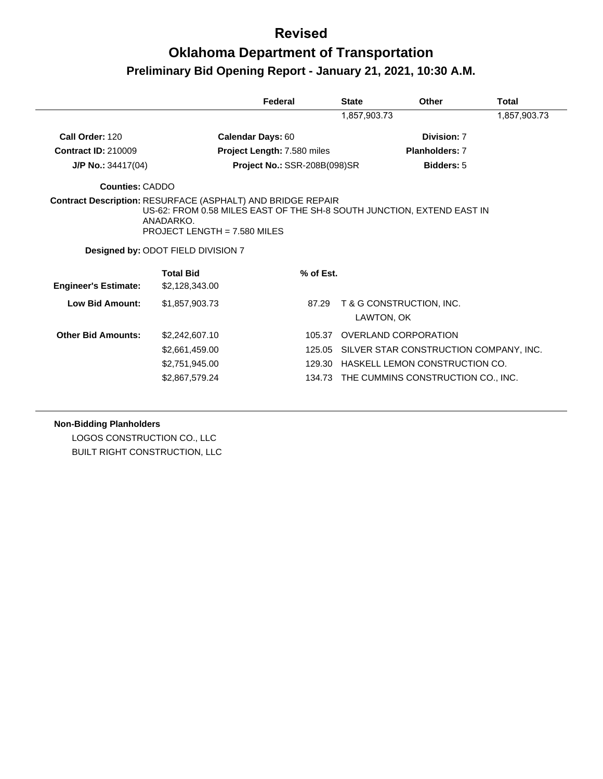## **Oklahoma Department of Transportation Preliminary Bid Opening Report - January 21, 2021, 10:30 A.M.**

|                             |                                                                                                                                                                                                                                   | Federal                      | <b>State</b> | <b>Other</b>                           | <b>Total</b> |
|-----------------------------|-----------------------------------------------------------------------------------------------------------------------------------------------------------------------------------------------------------------------------------|------------------------------|--------------|----------------------------------------|--------------|
|                             |                                                                                                                                                                                                                                   |                              | 1,857,903.73 |                                        | 1,857,903.73 |
| Call Order: 120             |                                                                                                                                                                                                                                   | <b>Calendar Days: 60</b>     |              | Division: 7                            |              |
| <b>Contract ID: 210009</b>  |                                                                                                                                                                                                                                   | Project Length: 7.580 miles  |              | <b>Planholders: 7</b>                  |              |
| $J/P$ No.: 34417(04)        |                                                                                                                                                                                                                                   | Project No.: SSR-208B(098)SR |              | <b>Bidders: 5</b>                      |              |
| <b>Counties: CADDO</b>      |                                                                                                                                                                                                                                   |                              |              |                                        |              |
|                             | <b>Contract Description: RESURFACE (ASPHALT) AND BRIDGE REPAIR</b><br>US-62: FROM 0.58 MILES EAST OF THE SH-8 SOUTH JUNCTION, EXTEND EAST IN<br>ANADARKO.<br>PROJECT LENGTH = $7.580$ MILES<br>Designed by: ODOT FIELD DIVISION 7 |                              |              |                                        |              |
| <b>Engineer's Estimate:</b> | <b>Total Bid</b><br>\$2,128,343.00                                                                                                                                                                                                | % of Est.                    |              |                                        |              |
| <b>Low Bid Amount:</b>      | \$1,857,903.73                                                                                                                                                                                                                    | 87.29                        |              | T & G CONSTRUCTION, INC.<br>LAWTON, OK |              |
| <b>Other Bid Amounts:</b>   | \$2,242,607.10                                                                                                                                                                                                                    | 105.37                       |              | <b>OVERLAND CORPORATION</b>            |              |
|                             | \$2,661,459.00                                                                                                                                                                                                                    | 125.05                       |              | SILVER STAR CONSTRUCTION COMPANY, INC. |              |
|                             | \$2,751,945.00                                                                                                                                                                                                                    | 129.30                       |              | HASKELL LEMON CONSTRUCTION CO.         |              |
|                             | \$2,867,579.24                                                                                                                                                                                                                    | 134.73                       |              | THE CUMMINS CONSTRUCTION CO., INC.     |              |

#### **Non-Bidding Planholders**

LOGOS CONSTRUCTION CO., LLC BUILT RIGHT CONSTRUCTION, LLC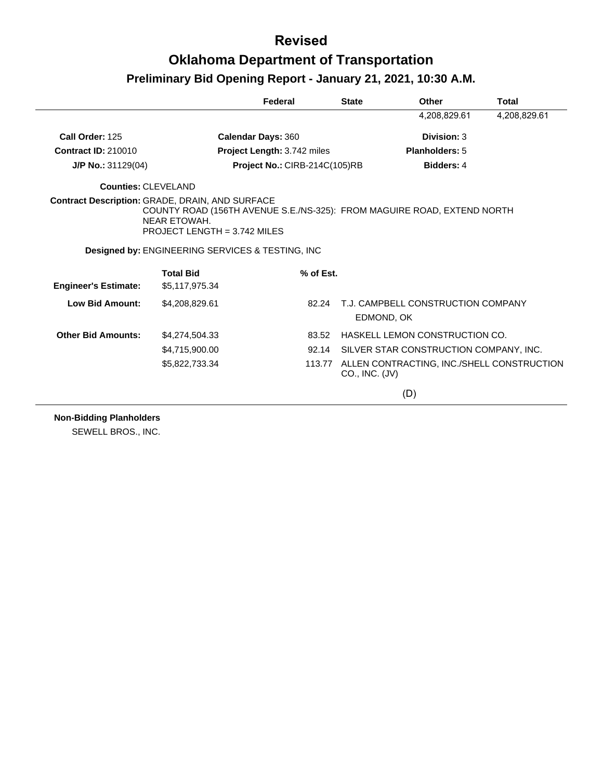|                             |                                                                                                                                                                              | Federal                            | <b>State</b>   | Other                                             | <b>Total</b> |
|-----------------------------|------------------------------------------------------------------------------------------------------------------------------------------------------------------------------|------------------------------------|----------------|---------------------------------------------------|--------------|
|                             |                                                                                                                                                                              |                                    |                | 4,208,829.61                                      | 4,208,829.61 |
| Call Order: 125             |                                                                                                                                                                              | <b>Calendar Days: 360</b>          |                | Division: 3                                       |              |
| <b>Contract ID: 210010</b>  |                                                                                                                                                                              | <b>Project Length: 3.742 miles</b> |                | Planholders: 5                                    |              |
| J/P No.: 31129(04)          |                                                                                                                                                                              | Project No.: CIRB-214C(105)RB      |                | <b>Bidders: 4</b>                                 |              |
| Counties: CLEVELAND         |                                                                                                                                                                              |                                    |                |                                                   |              |
|                             | Contract Description: GRADE, DRAIN, AND SURFACE<br>COUNTY ROAD (156TH AVENUE S.E./NS-325): FROM MAGUIRE ROAD, EXTEND NORTH<br>NEAR ETOWAH.<br>PROJECT LENGTH = $3.742$ MILES |                                    |                |                                                   |              |
|                             | <b>Designed by: ENGINEERING SERVICES &amp; TESTING, INC.</b>                                                                                                                 |                                    |                |                                                   |              |
| <b>Engineer's Estimate:</b> | <b>Total Bid</b><br>\$5,117,975.34                                                                                                                                           | % of Est.                          |                |                                                   |              |
| <b>Low Bid Amount:</b>      | \$4,208,829.61                                                                                                                                                               |                                    | 82.24          | T.J. CAMPBELL CONSTRUCTION COMPANY<br>EDMOND, OK  |              |
| <b>Other Bid Amounts:</b>   | \$4,274,504.33                                                                                                                                                               |                                    | 83.52          | HASKELL LEMON CONSTRUCTION CO.                    |              |
|                             | \$4,715,900.00                                                                                                                                                               |                                    | 92.14          | SILVER STAR CONSTRUCTION COMPANY, INC.            |              |
|                             | \$5,822,733.34                                                                                                                                                               |                                    | CO., INC. (JV) | 113.77 ALLEN CONTRACTING, INC./SHELL CONSTRUCTION |              |
|                             |                                                                                                                                                                              |                                    |                | (D)                                               |              |

**Non-Bidding Planholders**

SEWELL BROS., INC.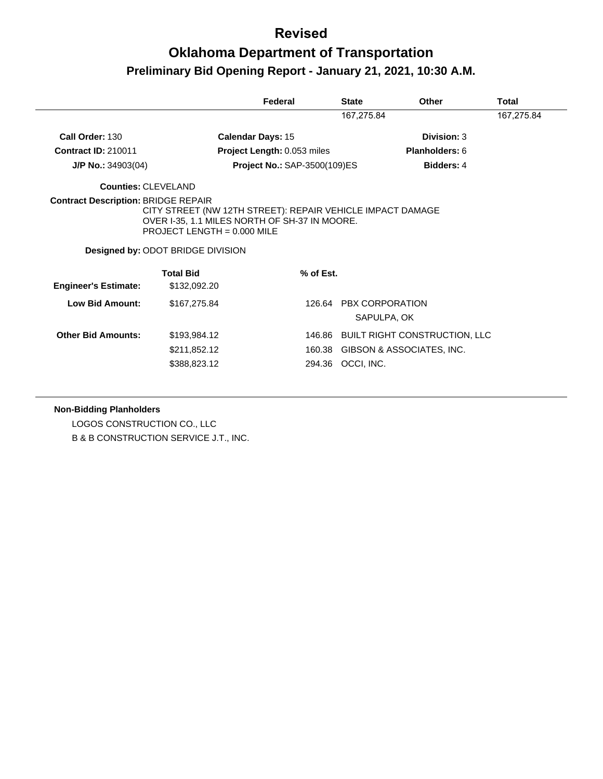# **Oklahoma Department of Transportation Preliminary Bid Opening Report - January 21, 2021, 10:30 A.M.**

|                                                            |                                                                                                                            | Federal                             | <b>State</b>           | Other                                | Total      |
|------------------------------------------------------------|----------------------------------------------------------------------------------------------------------------------------|-------------------------------------|------------------------|--------------------------------------|------------|
|                                                            |                                                                                                                            |                                     | 167,275.84             |                                      | 167,275.84 |
| Call Order: 130                                            | <b>Calendar Days: 15</b>                                                                                                   |                                     |                        | Division: 3                          |            |
| <b>Contract ID: 210011</b>                                 |                                                                                                                            | Project Length: 0.053 miles         |                        | Planholders: 6                       |            |
| $J/P$ No.: 34903(04)                                       |                                                                                                                            | <b>Project No.: SAP-3500(109)ES</b> |                        | <b>Bidders: 4</b>                    |            |
| Counties: CLEVELAND                                        |                                                                                                                            |                                     |                        |                                      |            |
| CITY STREET (NW 12TH STREET): REPAIR VEHICLE IMPACT DAMAGE |                                                                                                                            |                                     |                        |                                      |            |
|                                                            | OVER I-35, 1.1 MILES NORTH OF SH-37 IN MOORE.<br>PROJECT LENGTH = $0.000$ MILE<br><b>Designed by: ODOT BRIDGE DIVISION</b> |                                     |                        |                                      |            |
| <b>Engineer's Estimate:</b>                                | <b>Total Bid</b><br>\$132,092.20                                                                                           | % of Est.                           |                        |                                      |            |
| Low Bid Amount:                                            | \$167,275.84                                                                                                               | 126.64                              | <b>PBX CORPORATION</b> | SAPULPA, OK                          |            |
| <b>Other Bid Amounts:</b>                                  | \$193,984.12                                                                                                               |                                     |                        | 146.86 BUILT RIGHT CONSTRUCTION, LLC |            |
|                                                            | \$211,852.12                                                                                                               | 160.38                              |                        | GIBSON & ASSOCIATES, INC.            |            |

**Non-Bidding Planholders**

LOGOS CONSTRUCTION CO., LLC B & B CONSTRUCTION SERVICE J.T., INC.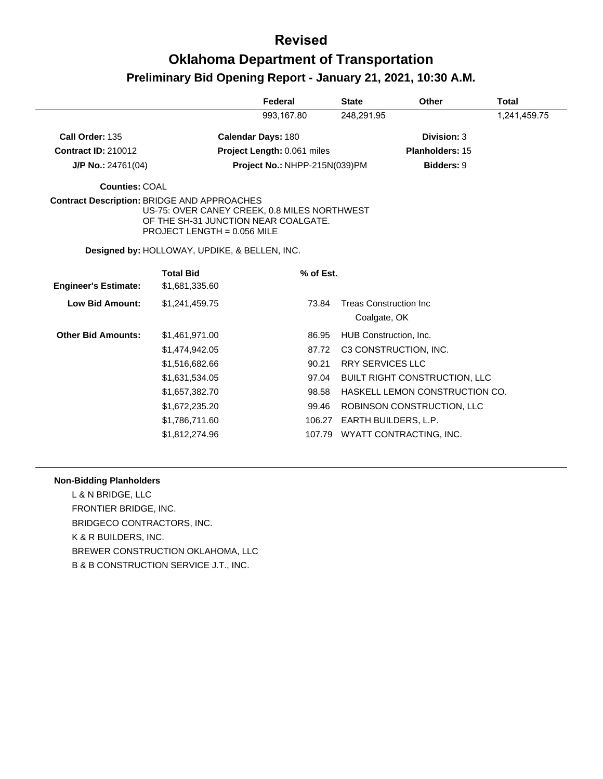|                                                    |                                                                                                                       | Federal                       | <b>State</b> | <b>Other</b>                                   | <b>Total</b> |
|----------------------------------------------------|-----------------------------------------------------------------------------------------------------------------------|-------------------------------|--------------|------------------------------------------------|--------------|
|                                                    |                                                                                                                       | 993,167.80                    | 248,291.95   |                                                | 1,241,459.75 |
| Call Order: 135                                    |                                                                                                                       | <b>Calendar Days: 180</b>     |              | Division: 3                                    |              |
| <b>Contract ID: 210012</b>                         |                                                                                                                       | Project Length: 0.061 miles   |              | <b>Planholders: 15</b>                         |              |
| $J/P$ No.: 24761(04)                               |                                                                                                                       | Project No.: NHPP-215N(039)PM |              | <b>Bidders: 9</b>                              |              |
| <b>Counties: COAL</b>                              |                                                                                                                       |                               |              |                                                |              |
| <b>Contract Description: BRIDGE AND APPROACHES</b> | US-75: OVER CANEY CREEK, 0.8 MILES NORTHWEST<br>OF THE SH-31 JUNCTION NEAR COALGATE.<br>PROJECT LENGTH = $0.056$ MILE |                               |              |                                                |              |
|                                                    | Designed by: HOLLOWAY, UPDIKE, & BELLEN, INC.                                                                         |                               |              |                                                |              |
| <b>Engineer's Estimate:</b>                        | <b>Total Bid</b><br>\$1,681,335.60                                                                                    | % of Est.                     |              |                                                |              |
| <b>Low Bid Amount:</b>                             | \$1,241,459.75                                                                                                        | 73.84                         |              | <b>Treas Construction Inc.</b><br>Coalgate, OK |              |
| <b>Other Bid Amounts:</b>                          | \$1,461,971.00                                                                                                        | 86.95                         |              | HUB Construction, Inc.                         |              |
|                                                    | \$1,474,942.05                                                                                                        | 87.72                         |              | C3 CONSTRUCTION, INC.                          |              |
|                                                    | \$1,516,682.66                                                                                                        | 90.21                         |              | <b>RRY SERVICES LLC</b>                        |              |
|                                                    | \$1,631,534.05                                                                                                        | 97.04                         |              | <b>BUILT RIGHT CONSTRUCTION, LLC</b>           |              |
|                                                    | \$1,657,382.70                                                                                                        | 98.58                         |              | HASKELL LEMON CONSTRUCTION CO.                 |              |
|                                                    | \$1,672,235.20                                                                                                        | 99.46                         |              | ROBINSON CONSTRUCTION, LLC                     |              |
|                                                    | \$1,786,711.60                                                                                                        | 106.27                        |              | EARTH BUILDERS, L.P.                           |              |
|                                                    | \$1,812,274.96                                                                                                        | 107.79                        |              | WYATT CONTRACTING, INC.                        |              |

#### **Non-Bidding Planholders**

L & N BRIDGE, LLC FRONTIER BRIDGE, INC. BRIDGECO CONTRACTORS, INC. K & R BUILDERS, INC. BREWER CONSTRUCTION OKLAHOMA, LLC B & B CONSTRUCTION SERVICE J.T., INC.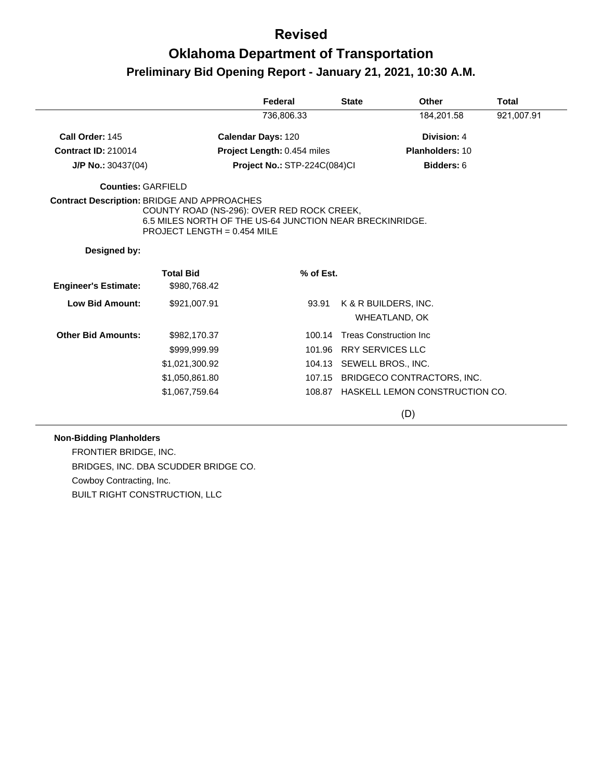# **Oklahoma Department of Transportation Preliminary Bid Opening Report - January 21, 2021, 10:30 A.M.**

| 736,806.33<br>184,201.58<br>921,007.91<br>Call Order: 145<br>Calendar Days: 120<br>Division: 4<br><b>Contract ID: 210014</b><br>Project Length: 0.454 miles<br><b>Planholders: 10</b><br>Project No.: STP-224C(084)Cl<br>Bidders: 6<br>$J/P$ No.: 30437(04)<br><b>Counties: GARFIELD</b><br><b>Contract Description: BRIDGE AND APPROACHES</b><br>COUNTY ROAD (NS-296): OVER RED ROCK CREEK,<br>6.5 MILES NORTH OF THE US-64 JUNCTION NEAR BRECKINRIDGE.<br>PROJECT LENGTH = $0.454$ MILE<br>Designed by:<br><b>Total Bid</b><br>% of Est.<br><b>Engineer's Estimate:</b><br>\$980,768.42<br>Low Bid Amount:<br>\$921,007.91<br>93.91<br>K & R BUILDERS, INC.<br>WHEATLAND, OK<br><b>Other Bid Amounts:</b><br><b>Treas Construction Inc.</b><br>\$982,170.37<br>100.14<br><b>RRY SERVICES LLC</b><br>\$999,999.99<br>101.96<br>SEWELL BROS., INC.<br>\$1,021,300.92<br>104.13<br>\$1,050,861.80<br>107.15 BRIDGECO CONTRACTORS, INC.<br>108.87 HASKELL LEMON CONSTRUCTION CO.<br>\$1,067,759.64 |  | Federal | <b>State</b> | Other | Total |
|--------------------------------------------------------------------------------------------------------------------------------------------------------------------------------------------------------------------------------------------------------------------------------------------------------------------------------------------------------------------------------------------------------------------------------------------------------------------------------------------------------------------------------------------------------------------------------------------------------------------------------------------------------------------------------------------------------------------------------------------------------------------------------------------------------------------------------------------------------------------------------------------------------------------------------------------------------------------------------------------------|--|---------|--------------|-------|-------|
|                                                                                                                                                                                                                                                                                                                                                                                                                                                                                                                                                                                                                                                                                                                                                                                                                                                                                                                                                                                                  |  |         |              |       |       |
|                                                                                                                                                                                                                                                                                                                                                                                                                                                                                                                                                                                                                                                                                                                                                                                                                                                                                                                                                                                                  |  |         |              |       |       |
|                                                                                                                                                                                                                                                                                                                                                                                                                                                                                                                                                                                                                                                                                                                                                                                                                                                                                                                                                                                                  |  |         |              |       |       |
|                                                                                                                                                                                                                                                                                                                                                                                                                                                                                                                                                                                                                                                                                                                                                                                                                                                                                                                                                                                                  |  |         |              |       |       |
|                                                                                                                                                                                                                                                                                                                                                                                                                                                                                                                                                                                                                                                                                                                                                                                                                                                                                                                                                                                                  |  |         |              |       |       |
|                                                                                                                                                                                                                                                                                                                                                                                                                                                                                                                                                                                                                                                                                                                                                                                                                                                                                                                                                                                                  |  |         |              |       |       |
|                                                                                                                                                                                                                                                                                                                                                                                                                                                                                                                                                                                                                                                                                                                                                                                                                                                                                                                                                                                                  |  |         |              |       |       |
|                                                                                                                                                                                                                                                                                                                                                                                                                                                                                                                                                                                                                                                                                                                                                                                                                                                                                                                                                                                                  |  |         |              |       |       |
|                                                                                                                                                                                                                                                                                                                                                                                                                                                                                                                                                                                                                                                                                                                                                                                                                                                                                                                                                                                                  |  |         |              |       |       |
|                                                                                                                                                                                                                                                                                                                                                                                                                                                                                                                                                                                                                                                                                                                                                                                                                                                                                                                                                                                                  |  |         |              |       |       |
|                                                                                                                                                                                                                                                                                                                                                                                                                                                                                                                                                                                                                                                                                                                                                                                                                                                                                                                                                                                                  |  |         |              |       |       |
|                                                                                                                                                                                                                                                                                                                                                                                                                                                                                                                                                                                                                                                                                                                                                                                                                                                                                                                                                                                                  |  |         |              |       |       |
|                                                                                                                                                                                                                                                                                                                                                                                                                                                                                                                                                                                                                                                                                                                                                                                                                                                                                                                                                                                                  |  |         |              |       |       |
|                                                                                                                                                                                                                                                                                                                                                                                                                                                                                                                                                                                                                                                                                                                                                                                                                                                                                                                                                                                                  |  |         |              |       |       |

(D)

#### **Non-Bidding Planholders**

FRONTIER BRIDGE, INC. BRIDGES, INC. DBA SCUDDER BRIDGE CO. Cowboy Contracting, Inc. BUILT RIGHT CONSTRUCTION, LLC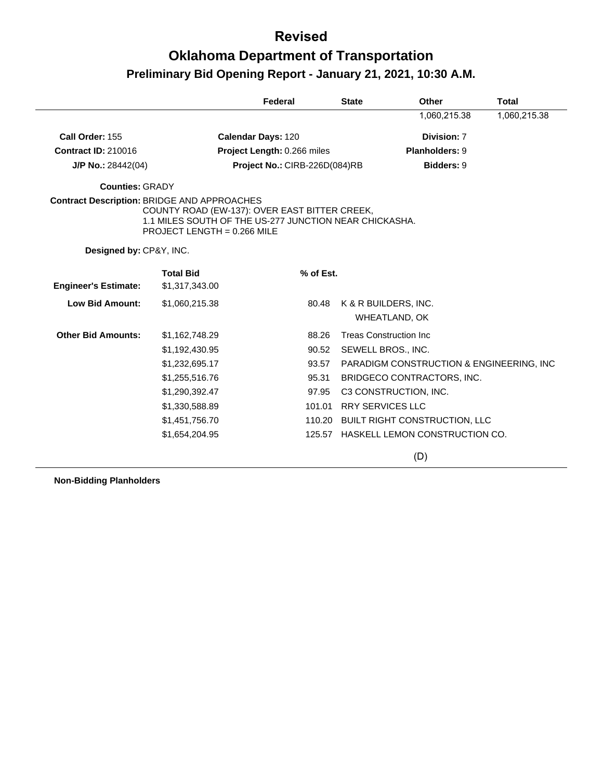## **Oklahoma Department of Transportation Preliminary Bid Opening Report - January 21, 2021, 10:30 A.M.**

|                                                    |                               | Federal                                                                                                 | <b>State</b> | Other                                        | <b>Total</b> |
|----------------------------------------------------|-------------------------------|---------------------------------------------------------------------------------------------------------|--------------|----------------------------------------------|--------------|
|                                                    |                               |                                                                                                         |              | 1,060,215.38                                 | 1,060,215.38 |
| Call Order: 155                                    |                               | <b>Calendar Days: 120</b>                                                                               |              | Division: 7                                  |              |
| <b>Contract ID: 210016</b>                         |                               | Project Length: 0.266 miles                                                                             |              | Planholders: 9                               |              |
| $J/P$ No.: 28442(04)                               |                               | Project No.: CIRB-226D(084)RB                                                                           |              | <b>Bidders: 9</b>                            |              |
| <b>Counties: GRADY</b>                             |                               |                                                                                                         |              |                                              |              |
| <b>Contract Description: BRIDGE AND APPROACHES</b> | PROJECT LENGTH = $0.266$ MILE | COUNTY ROAD (EW-137): OVER EAST BITTER CREEK,<br>1.1 MILES SOUTH OF THE US-277 JUNCTION NEAR CHICKASHA. |              |                                              |              |
| Designed by: CP&Y, INC.                            |                               |                                                                                                         |              |                                              |              |
|                                                    | <b>Total Bid</b>              | % of Est.                                                                                               |              |                                              |              |
| <b>Engineer's Estimate:</b>                        | \$1,317,343.00                |                                                                                                         |              |                                              |              |
| <b>Low Bid Amount:</b>                             | \$1,060,215.38                | 80.48                                                                                                   |              | K & R BUILDERS, INC.<br><b>WHEATLAND, OK</b> |              |
| <b>Other Bid Amounts:</b>                          | \$1,162,748.29                | 88.26                                                                                                   |              | <b>Treas Construction Inc.</b>               |              |
|                                                    | \$1,192,430.95                | 90.52                                                                                                   |              | SEWELL BROS., INC.                           |              |
|                                                    | \$1,232,695.17                | 93.57                                                                                                   |              | PARADIGM CONSTRUCTION & ENGINEERING, INC.    |              |
|                                                    | \$1,255,516.76                | 95.31                                                                                                   |              | BRIDGECO CONTRACTORS, INC.                   |              |
|                                                    | \$1,290,392.47                | 97.95                                                                                                   |              | C3 CONSTRUCTION, INC.                        |              |
|                                                    | \$1,330,588.89                | 101.01                                                                                                  |              | <b>RRY SERVICES LLC</b>                      |              |
|                                                    | \$1,451,756.70                |                                                                                                         |              | 110.20 BUILT RIGHT CONSTRUCTION, LLC         |              |
|                                                    | \$1,654,204.95                |                                                                                                         |              | 125.57 HASKELL LEMON CONSTRUCTION CO.        |              |
|                                                    |                               |                                                                                                         |              | (D)                                          |              |

**Non-Bidding Planholders**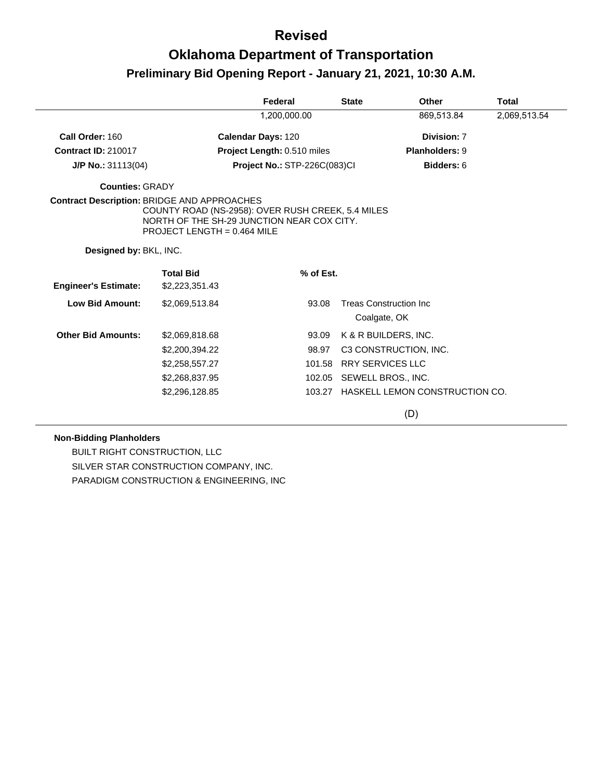## **Oklahoma Department of Transportation Preliminary Bid Opening Report - January 21, 2021, 10:30 A.M.**

|                                             |                                                                                                                                  | Federal                             |        | <b>State</b>                                   | <b>Other</b>                   | <b>Total</b> |
|---------------------------------------------|----------------------------------------------------------------------------------------------------------------------------------|-------------------------------------|--------|------------------------------------------------|--------------------------------|--------------|
|                                             |                                                                                                                                  | 1,200,000.00                        |        |                                                | 869,513.84                     | 2,069,513.54 |
| Call Order: 160                             |                                                                                                                                  | <b>Calendar Days: 120</b>           |        |                                                | Division: 7                    |              |
| <b>Contract ID: 210017</b>                  |                                                                                                                                  | Project Length: 0.510 miles         |        |                                                | Planholders: 9                 |              |
| $J/P$ No.: 31113(04)                        |                                                                                                                                  | <b>Project No.: STP-226C(083)CI</b> |        |                                                | Bidders: 6                     |              |
| <b>Counties: GRADY</b>                      |                                                                                                                                  |                                     |        |                                                |                                |              |
| Contract Description: BRIDGE AND APPROACHES | COUNTY ROAD (NS-2958): OVER RUSH CREEK, 5.4 MILES<br>NORTH OF THE SH-29 JUNCTION NEAR COX CITY.<br>PROJECT LENGTH = $0.464$ MILE |                                     |        |                                                |                                |              |
| Designed by: BKL, INC.                      |                                                                                                                                  |                                     |        |                                                |                                |              |
| <b>Engineer's Estimate:</b>                 | <b>Total Bid</b><br>\$2,223,351.43                                                                                               | % of Est.                           |        |                                                |                                |              |
| <b>Low Bid Amount:</b>                      | \$2,069,513.84                                                                                                                   | 93.08                               |        | <b>Treas Construction Inc.</b><br>Coalgate, OK |                                |              |
| <b>Other Bid Amounts:</b>                   | \$2,069,818.68                                                                                                                   | 93.09                               |        | K & R BUILDERS, INC.                           |                                |              |
|                                             | \$2,200,394.22                                                                                                                   | 98.97                               |        |                                                | C3 CONSTRUCTION, INC.          |              |
|                                             | \$2,258,557.27                                                                                                                   | 101.58                              |        | <b>RRY SERVICES LLC</b>                        |                                |              |
|                                             | \$2,268,837.95                                                                                                                   |                                     | 102.05 | SEWELL BROS., INC.                             |                                |              |
|                                             | \$2,296,128.85                                                                                                                   | 103.27                              |        |                                                | HASKELL LEMON CONSTRUCTION CO. |              |
|                                             |                                                                                                                                  |                                     |        |                                                | (D)                            |              |

#### **Non-Bidding Planholders**

BUILT RIGHT CONSTRUCTION, LLC SILVER STAR CONSTRUCTION COMPANY, INC. PARADIGM CONSTRUCTION & ENGINEERING, INC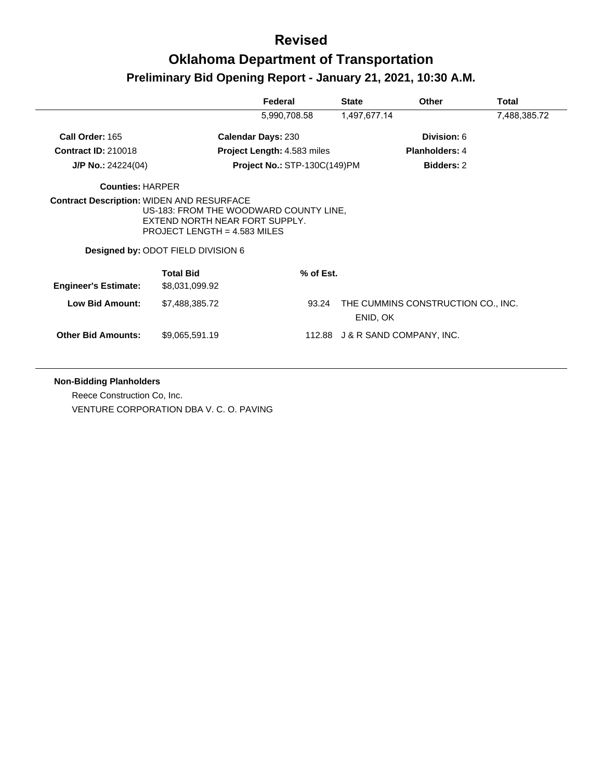|                                                  |                                                                                                                                                  | Federal                      | <b>State</b>                    | Other                              | <b>Total</b> |
|--------------------------------------------------|--------------------------------------------------------------------------------------------------------------------------------------------------|------------------------------|---------------------------------|------------------------------------|--------------|
|                                                  |                                                                                                                                                  | 5,990,708.58                 | 1,497,677.14                    |                                    | 7,488,385.72 |
| Call Order: 165                                  |                                                                                                                                                  | <b>Calendar Days: 230</b>    |                                 | Division: 6                        |              |
| <b>Contract ID: 210018</b>                       |                                                                                                                                                  | Project Length: 4.583 miles  |                                 | <b>Planholders: 4</b>              |              |
| J/P No.: $24224(04)$                             |                                                                                                                                                  | Project No.: STP-130C(149)PM |                                 | <b>Bidders: 2</b>                  |              |
| <b>Counties: HARPER</b>                          |                                                                                                                                                  |                              |                                 |                                    |              |
| <b>Contract Description: WIDEN AND RESURFACE</b> | US-183: FROM THE WOODWARD COUNTY LINE,<br>EXTEND NORTH NEAR FORT SUPPLY.<br>PROJECT LENGTH = $4.583$ MILES<br>Designed by: ODOT FIELD DIVISION 6 |                              |                                 |                                    |              |
|                                                  | <b>Total Bid</b>                                                                                                                                 | % of Est.                    |                                 |                                    |              |
| <b>Engineer's Estimate:</b>                      | \$8,031,099.92                                                                                                                                   |                              |                                 |                                    |              |
| <b>Low Bid Amount:</b>                           | \$7,488,385.72                                                                                                                                   | 93.24                        | ENID, OK                        | THE CUMMINS CONSTRUCTION CO., INC. |              |
| <b>Other Bid Amounts:</b>                        | \$9,065,591.19                                                                                                                                   |                              | 112.88 J & R SAND COMPANY, INC. |                                    |              |

**Non-Bidding Planholders**

Reece Construction Co, Inc. VENTURE CORPORATION DBA V. C. O. PAVING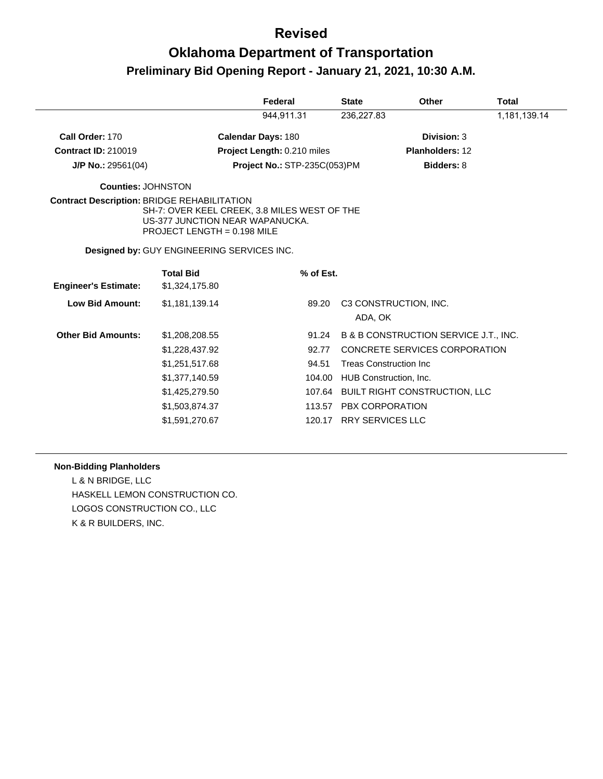# **Oklahoma Department of Transportation Preliminary Bid Opening Report - January 21, 2021, 10:30 A.M.**

|                                                    |                                                                                                                | Federal                             | <b>State</b> | <b>Other</b>                          | <b>Total</b> |
|----------------------------------------------------|----------------------------------------------------------------------------------------------------------------|-------------------------------------|--------------|---------------------------------------|--------------|
|                                                    |                                                                                                                | 944,911.31                          | 236,227.83   |                                       | 1,181,139.14 |
| Call Order: 170                                    |                                                                                                                | <b>Calendar Days: 180</b>           |              | Division: 3                           |              |
| <b>Contract ID: 210019</b>                         |                                                                                                                | Project Length: 0.210 miles         |              | Planholders: 12                       |              |
| $J/P$ No.: 29561(04)                               |                                                                                                                | <b>Project No.: STP-235C(053)PM</b> |              | <b>Bidders: 8</b>                     |              |
| <b>Counties: JOHNSTON</b>                          |                                                                                                                |                                     |              |                                       |              |
| <b>Contract Description: BRIDGE REHABILITATION</b> | SH-7: OVER KEEL CREEK, 3.8 MILES WEST OF THE<br>US-377 JUNCTION NEAR WAPANUCKA.<br>PROJECT LENGTH = 0.198 MILE |                                     |              |                                       |              |
|                                                    | <b>Designed by: GUY ENGINEERING SERVICES INC.</b>                                                              |                                     |              |                                       |              |
|                                                    | <b>Total Bid</b>                                                                                               | % of Est.                           |              |                                       |              |
| <b>Engineer's Estimate:</b>                        | \$1,324,175.80                                                                                                 |                                     |              |                                       |              |
| <b>Low Bid Amount:</b>                             | \$1,181,139.14                                                                                                 | 89.20                               |              | C3 CONSTRUCTION, INC.                 |              |
|                                                    |                                                                                                                |                                     | ADA, OK      |                                       |              |
| <b>Other Bid Amounts:</b>                          | \$1,208,208.55                                                                                                 | 91.24                               |              | B & B CONSTRUCTION SERVICE J.T., INC. |              |
|                                                    | \$1,228,437.92                                                                                                 | 92.77                               |              | CONCRETE SERVICES CORPORATION         |              |
|                                                    | \$1,251,517.68                                                                                                 | 94.51                               |              | <b>Treas Construction Inc.</b>        |              |
|                                                    | \$1,377,140.59                                                                                                 | 104.00                              |              | HUB Construction, Inc.                |              |
|                                                    | \$1,425,279.50                                                                                                 | 107.64                              |              | <b>BUILT RIGHT CONSTRUCTION, LLC</b>  |              |
|                                                    | \$1,503,874.37                                                                                                 | 113.57                              |              | PBX CORPORATION                       |              |
|                                                    | \$1,591,270.67                                                                                                 | 120.17                              |              | <b>RRY SERVICES LLC</b>               |              |

#### **Non-Bidding Planholders**

L & N BRIDGE, LLC HASKELL LEMON CONSTRUCTION CO. LOGOS CONSTRUCTION CO., LLC K & R BUILDERS, INC.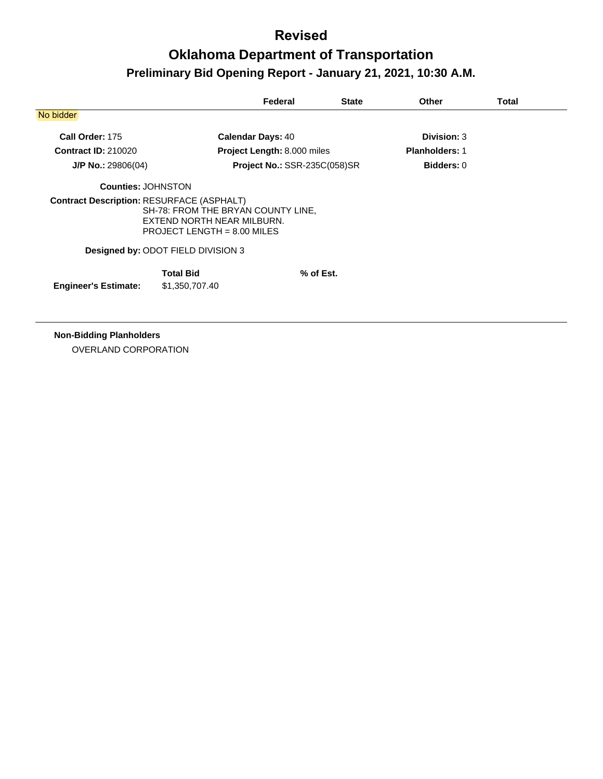## **Oklahoma Department of Transportation Preliminary Bid Opening Report - January 21, 2021, 10:30 A.M.**

|                                                  |                                                                                                   | Federal                             | <b>State</b> | <b>Other</b>          | Total |
|--------------------------------------------------|---------------------------------------------------------------------------------------------------|-------------------------------------|--------------|-----------------------|-------|
| No bidder                                        |                                                                                                   |                                     |              |                       |       |
| Call Order: 175                                  |                                                                                                   | <b>Calendar Days: 40</b>            |              | <b>Division: 3</b>    |       |
| <b>Contract ID: 210020</b>                       |                                                                                                   | Project Length: 8.000 miles         |              | <b>Planholders: 1</b> |       |
| $J/P$ No.: 29806(04)                             |                                                                                                   | <b>Project No.: SSR-235C(058)SR</b> |              | <b>Bidders: 0</b>     |       |
| <b>Counties: JOHNSTON</b>                        |                                                                                                   |                                     |              |                       |       |
| <b>Contract Description: RESURFACE (ASPHALT)</b> | SH-78: FROM THE BRYAN COUNTY LINE,<br>EXTEND NORTH NEAR MILBURN.<br>PROJECT LENGTH = $8.00$ MILES |                                     |              |                       |       |
|                                                  | Designed by: ODOT FIELD DIVISION 3                                                                |                                     |              |                       |       |
| <b>Engineer's Estimate:</b>                      | <b>Total Bid</b><br>\$1,350,707.40                                                                |                                     | % of Est.    |                       |       |

**Non-Bidding Planholders**

OVERLAND CORPORATION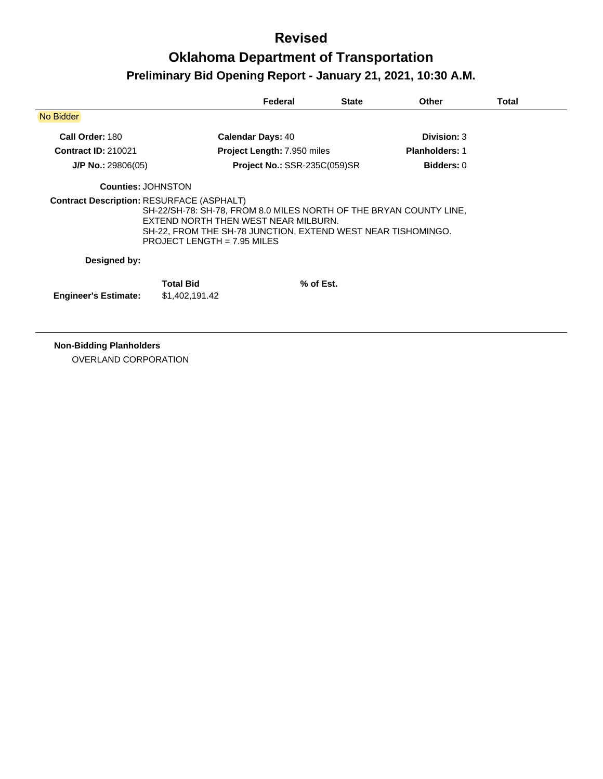# **Oklahoma Department of Transportation Preliminary Bid Opening Report - January 21, 2021, 10:30 A.M.**

|                                                  |                                                                                                                                                                                                             | Federal                             | <b>State</b> | Other                 | Total |
|--------------------------------------------------|-------------------------------------------------------------------------------------------------------------------------------------------------------------------------------------------------------------|-------------------------------------|--------------|-----------------------|-------|
| No Bidder                                        |                                                                                                                                                                                                             |                                     |              |                       |       |
| Call Order: 180                                  |                                                                                                                                                                                                             | <b>Calendar Days: 40</b>            |              | Division: 3           |       |
| <b>Contract ID: 210021</b>                       |                                                                                                                                                                                                             | <b>Project Length: 7.950 miles</b>  |              | <b>Planholders: 1</b> |       |
| $J/P$ No.: 29806(05)                             |                                                                                                                                                                                                             | <b>Project No.: SSR-235C(059)SR</b> |              | <b>Bidders: 0</b>     |       |
| <b>Counties: JOHNSTON</b>                        |                                                                                                                                                                                                             |                                     |              |                       |       |
| <b>Contract Description: RESURFACE (ASPHALT)</b> | SH-22/SH-78: SH-78, FROM 8.0 MILES NORTH OF THE BRYAN COUNTY LINE,<br>EXTEND NORTH THEN WEST NEAR MILBURN.<br>SH-22, FROM THE SH-78 JUNCTION, EXTEND WEST NEAR TISHOMINGO.<br>PROJECT LENGTH = $7.95$ MILES |                                     |              |                       |       |
| Designed by:                                     |                                                                                                                                                                                                             |                                     |              |                       |       |
|                                                  | <b>Total Bid</b>                                                                                                                                                                                            |                                     | $%$ of Est.  |                       |       |
| <b>Engineer's Estimate:</b>                      | \$1,402,191.42                                                                                                                                                                                              |                                     |              |                       |       |
|                                                  |                                                                                                                                                                                                             |                                     |              |                       |       |
|                                                  |                                                                                                                                                                                                             |                                     |              |                       |       |

**Non-Bidding Planholders** OVERLAND CORPORATION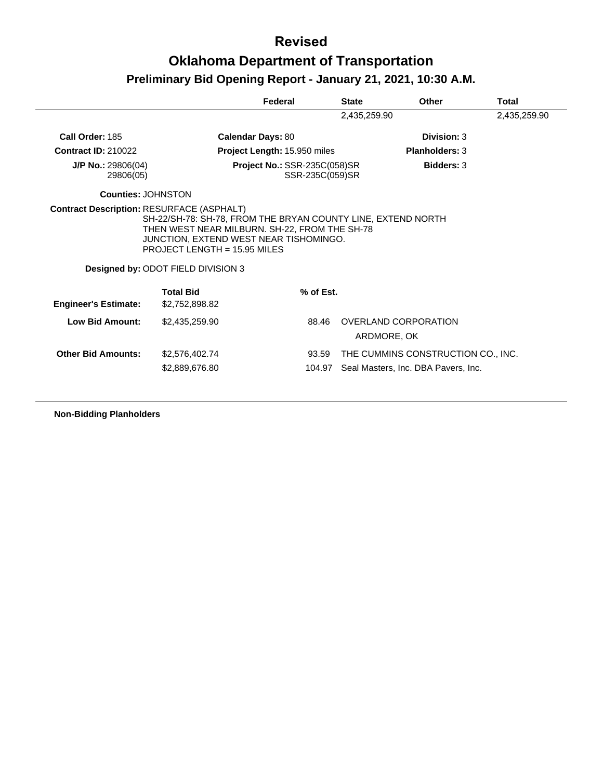|                                   |                                                                                                                | Federal                                                | <b>State</b> | <b>Other</b>                        | Total        |
|-----------------------------------|----------------------------------------------------------------------------------------------------------------|--------------------------------------------------------|--------------|-------------------------------------|--------------|
|                                   |                                                                                                                |                                                        | 2,435,259.90 |                                     | 2,435,259.90 |
| Call Order: 185                   |                                                                                                                | <b>Calendar Days: 80</b>                               |              | Division: 3                         |              |
| <b>Contract ID: 210022</b>        |                                                                                                                | Project Length: 15.950 miles                           |              | <b>Planholders: 3</b>               |              |
| $J/P$ No.: 29806(04)<br>29806(05) |                                                                                                                | <b>Project No.: SSR-235C(058)SR</b><br>SSR-235C(059)SR |              | <b>Bidders: 3</b>                   |              |
| <b>Counties: JOHNSTON</b>         |                                                                                                                |                                                        |              |                                     |              |
|                                   | THEN WEST NEAR MILBURN. SH-22, FROM THE SH-78                                                                  |                                                        |              |                                     |              |
|                                   | JUNCTION, EXTEND WEST NEAR TISHOMINGO.<br>PROJECT LENGTH = $15.95$ MILES<br>Designed by: ODOT FIELD DIVISION 3 |                                                        |              |                                     |              |
| <b>Engineer's Estimate:</b>       | <b>Total Bid</b><br>\$2,752,898.82                                                                             | % of Est.                                              |              |                                     |              |
| <b>Low Bid Amount:</b>            | \$2,435,259.90                                                                                                 | 88.46                                                  |              | OVERLAND CORPORATION<br>ARDMORE, OK |              |
| <b>Other Bid Amounts:</b>         | \$2,576,402.74                                                                                                 | 93.59                                                  |              | THE CUMMINS CONSTRUCTION CO., INC.  |              |

**Non-Bidding Planholders**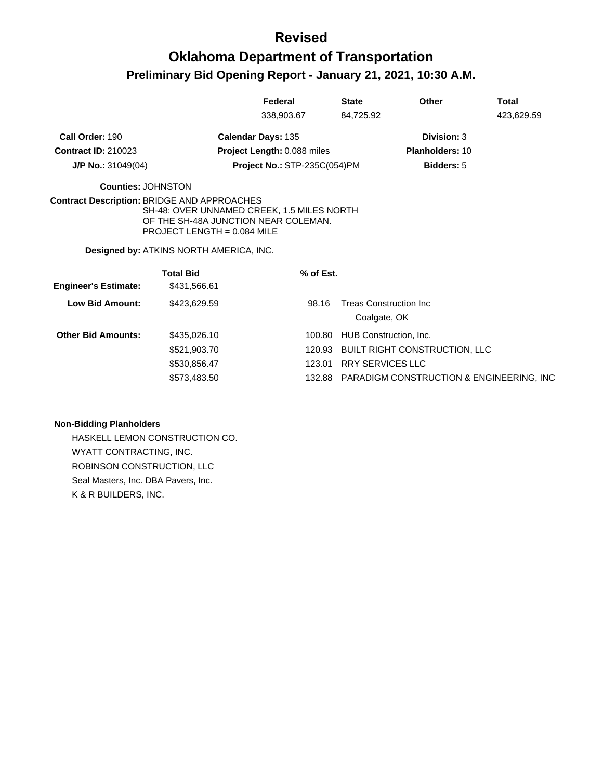# **Oklahoma Department of Transportation Preliminary Bid Opening Report - January 21, 2021, 10:30 A.M.**

|                                                    |                                                                                                                                                                | Federal                      | <b>State</b>            | <b>Other</b>                                    | Total      |
|----------------------------------------------------|----------------------------------------------------------------------------------------------------------------------------------------------------------------|------------------------------|-------------------------|-------------------------------------------------|------------|
|                                                    |                                                                                                                                                                | 338,903.67                   | 84,725.92               |                                                 | 423,629.59 |
| Call Order: 190                                    |                                                                                                                                                                | Calendar Days: 135           |                         | Division: 3                                     |            |
| <b>Contract ID: 210023</b>                         |                                                                                                                                                                | Project Length: 0.088 miles  |                         | <b>Planholders: 10</b>                          |            |
| $J/P$ No.: 31049(04)                               |                                                                                                                                                                | Project No.: STP-235C(054)PM |                         | <b>Bidders: 5</b>                               |            |
| Counties: JOHNSTON                                 |                                                                                                                                                                |                              |                         |                                                 |            |
| <b>Contract Description: BRIDGE AND APPROACHES</b> | SH-48: OVER UNNAMED CREEK, 1.5 MILES NORTH<br>OF THE SH-48A JUNCTION NEAR COLEMAN.<br>PROJECT LENGTH = $0.084$ MILE<br>Designed by: ATKINS NORTH AMERICA, INC. |                              |                         |                                                 |            |
|                                                    | <b>Total Bid</b>                                                                                                                                               | % of Est.                    |                         |                                                 |            |
| <b>Engineer's Estimate:</b>                        | \$431,566.61                                                                                                                                                   |                              |                         |                                                 |            |
| Low Bid Amount:                                    | \$423,629.59                                                                                                                                                   | 98.16                        | Coalgate, OK            | <b>Treas Construction Inc</b>                   |            |
| <b>Other Bid Amounts:</b>                          | \$435,026.10                                                                                                                                                   | 100.80                       |                         | HUB Construction, Inc.                          |            |
|                                                    | \$521,903.70                                                                                                                                                   | 120.93                       |                         | <b>BUILT RIGHT CONSTRUCTION, LLC</b>            |            |
|                                                    | \$530,856.47                                                                                                                                                   |                              | 123.01 RRY SERVICES LLC |                                                 |            |
|                                                    | \$573,483.50                                                                                                                                                   |                              |                         | 132.88 PARADIGM CONSTRUCTION & ENGINEERING, INC |            |

#### **Non-Bidding Planholders**

HASKELL LEMON CONSTRUCTION CO. WYATT CONTRACTING, INC. ROBINSON CONSTRUCTION, LLC Seal Masters, Inc. DBA Pavers, Inc. K & R BUILDERS, INC.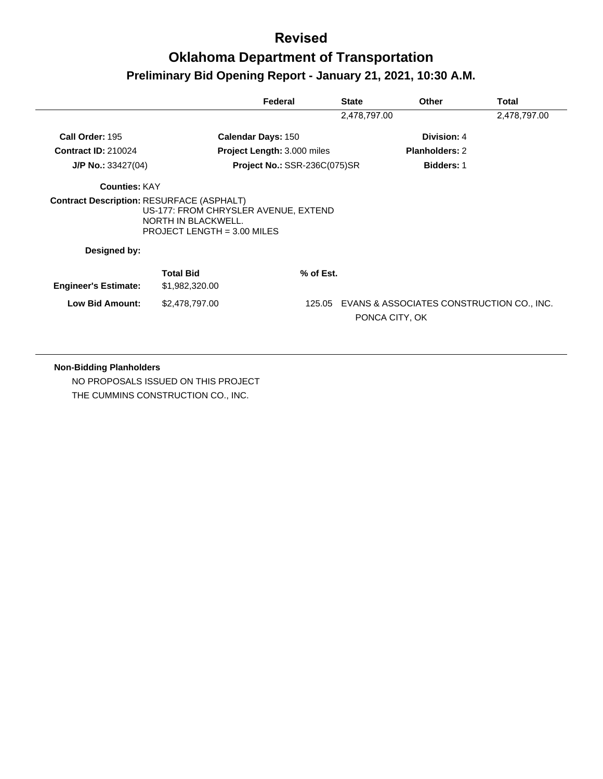# **Oklahoma Department of Transportation Preliminary Bid Opening Report - January 21, 2021, 10:30 A.M.**

|                                                  |                                                                                                   | Federal                             | <b>State</b> | <b>Other</b>                                                | Total        |
|--------------------------------------------------|---------------------------------------------------------------------------------------------------|-------------------------------------|--------------|-------------------------------------------------------------|--------------|
|                                                  |                                                                                                   |                                     | 2,478,797.00 |                                                             | 2,478,797.00 |
| Call Order: 195                                  |                                                                                                   | <b>Calendar Days: 150</b>           |              | Division: 4                                                 |              |
| <b>Contract ID: 210024</b>                       |                                                                                                   | <b>Project Length: 3.000 miles</b>  |              | <b>Planholders: 2</b>                                       |              |
| $J/P$ No.: 33427(04)                             |                                                                                                   | <b>Project No.: SSR-236C(075)SR</b> |              | <b>Bidders: 1</b>                                           |              |
| <b>Counties: KAY</b>                             |                                                                                                   |                                     |              |                                                             |              |
| <b>Contract Description: RESURFACE (ASPHALT)</b> | US-177: FROM CHRYSLER AVENUE, EXTEND<br>NORTH IN BLACKWELL.<br><b>PROJECT LENGTH = 3.00 MILES</b> |                                     |              |                                                             |              |
| Designed by:                                     |                                                                                                   |                                     |              |                                                             |              |
| <b>Engineer's Estimate:</b>                      | <b>Total Bid</b><br>\$1,982,320.00                                                                | % of Est.                           |              |                                                             |              |
| <b>Low Bid Amount:</b>                           | \$2,478,797.00                                                                                    | 125.05                              |              | EVANS & ASSOCIATES CONSTRUCTION CO., INC.<br>PONCA CITY, OK |              |

#### **Non-Bidding Planholders**

NO PROPOSALS ISSUED ON THIS PROJECT THE CUMMINS CONSTRUCTION CO., INC.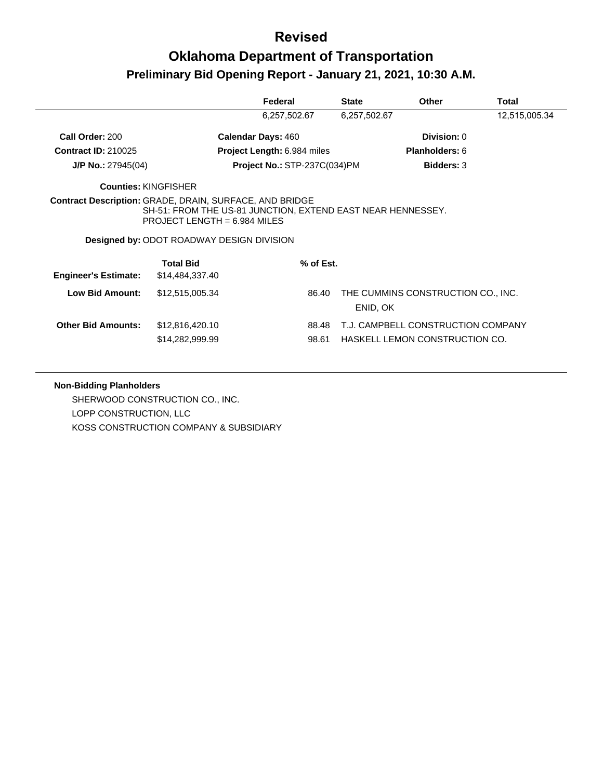## **Oklahoma Department of Transportation Preliminary Bid Opening Report - January 21, 2021, 10:30 A.M.**

|                             |                                                                                                                                                                                                                     | Federal                            | <b>State</b> | <b>Other</b>                       | Total         |
|-----------------------------|---------------------------------------------------------------------------------------------------------------------------------------------------------------------------------------------------------------------|------------------------------------|--------------|------------------------------------|---------------|
|                             |                                                                                                                                                                                                                     | 6,257,502.67                       | 6,257,502.67 |                                    | 12,515,005.34 |
| Call Order: 200             | <b>Calendar Days: 460</b>                                                                                                                                                                                           |                                    |              | <b>Division: 0</b>                 |               |
| <b>Contract ID: 210025</b>  |                                                                                                                                                                                                                     | <b>Project Length: 6.984 miles</b> |              | <b>Planholders: 6</b>              |               |
| $J/P$ No.: 27945(04)        |                                                                                                                                                                                                                     | Project No.: STP-237C(034)PM       |              | <b>Bidders: 3</b>                  |               |
| <b>Counties: KINGFISHER</b> |                                                                                                                                                                                                                     |                                    |              |                                    |               |
|                             | <b>Contract Description: GRADE, DRAIN, SURFACE, AND BRIDGE</b><br>SH-51: FROM THE US-81 JUNCTION, EXTEND EAST NEAR HENNESSEY.<br>PROJECT LENGTH = $6.984$ MILES<br><b>Designed by: ODOT ROADWAY DESIGN DIVISION</b> |                                    |              |                                    |               |
|                             | <b>Total Bid</b>                                                                                                                                                                                                    | % of Est.                          |              |                                    |               |
| <b>Engineer's Estimate:</b> | \$14,484,337.40                                                                                                                                                                                                     |                                    |              |                                    |               |
| Low Bid Amount:             | \$12,515,005.34                                                                                                                                                                                                     | 86.40                              | ENID, OK     | THE CUMMINS CONSTRUCTION CO., INC. |               |
| <b>Other Bid Amounts:</b>   | \$12,816,420.10                                                                                                                                                                                                     | 88.48                              |              | T.J. CAMPBELL CONSTRUCTION COMPANY |               |
|                             | \$14,282,999.99                                                                                                                                                                                                     | 98.61                              |              | HASKELL LEMON CONSTRUCTION CO.     |               |

#### **Non-Bidding Planholders**

SHERWOOD CONSTRUCTION CO., INC. LOPP CONSTRUCTION, LLC KOSS CONSTRUCTION COMPANY & SUBSIDIARY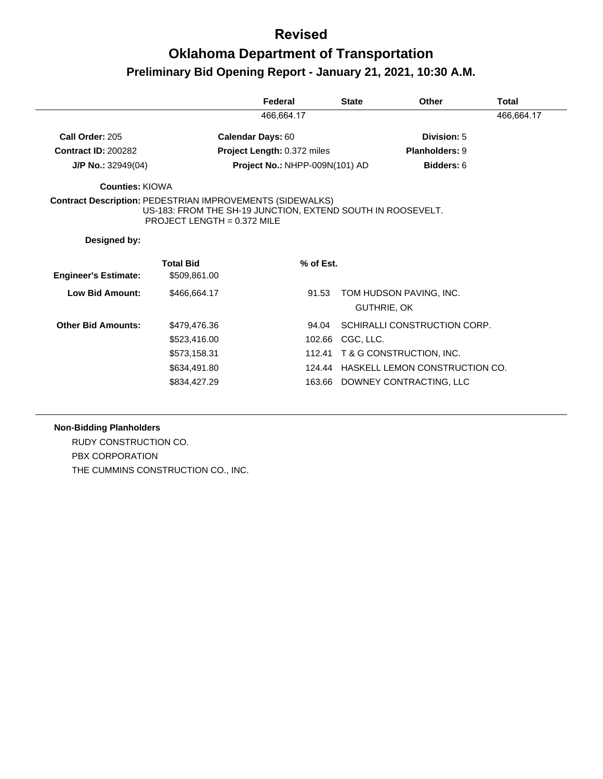## **Oklahoma Department of Transportation Preliminary Bid Opening Report - January 21, 2021, 10:30 A.M.**

|                                                                  |                                                                                              | Federal                        | <b>State</b>       | <b>Other</b>                          | Total      |
|------------------------------------------------------------------|----------------------------------------------------------------------------------------------|--------------------------------|--------------------|---------------------------------------|------------|
|                                                                  |                                                                                              | 466,664.17                     |                    |                                       | 466,664.17 |
| Call Order: 205                                                  |                                                                                              | <b>Calendar Days: 60</b>       |                    | Division: 5                           |            |
| <b>Contract ID: 200282</b>                                       |                                                                                              | Project Length: 0.372 miles    |                    | <b>Planholders: 9</b>                 |            |
| <b>J/P No.:</b> $32949(04)$                                      |                                                                                              | Project No.: NHPP-009N(101) AD |                    | Bidders: 6                            |            |
| Counties: KIOWA                                                  |                                                                                              |                                |                    |                                       |            |
| <b>Contract Description: PEDESTRIAN IMPROVEMENTS (SIDEWALKS)</b> | US-183: FROM THE SH-19 JUNCTION, EXTEND SOUTH IN ROOSEVELT.<br>PROJECT LENGTH = $0.372$ MILE |                                |                    |                                       |            |
| Designed by:                                                     |                                                                                              |                                |                    |                                       |            |
| <b>Engineer's Estimate:</b>                                      | <b>Total Bid</b><br>\$509,861.00                                                             | % of Est.                      |                    |                                       |            |
| <b>Low Bid Amount:</b>                                           | \$466,664.17                                                                                 | 91.53                          | <b>GUTHRIE, OK</b> | TOM HUDSON PAVING, INC.               |            |
| <b>Other Bid Amounts:</b>                                        | \$479,476.36                                                                                 | 94.04                          |                    | SCHIRALLI CONSTRUCTION CORP.          |            |
|                                                                  | \$523,416.00                                                                                 | 102.66                         | CGC, LLC.          |                                       |            |
|                                                                  | \$573,158.31                                                                                 | 112.41                         |                    | T & G CONSTRUCTION, INC.              |            |
|                                                                  | \$634,491.80                                                                                 |                                |                    | 124.44 HASKELL LEMON CONSTRUCTION CO. |            |
|                                                                  | \$834.427.29                                                                                 |                                |                    | 163.66 DOWNEY CONTRACTING, LLC        |            |

#### **Non-Bidding Planholders**

RUDY CONSTRUCTION CO. PBX CORPORATION THE CUMMINS CONSTRUCTION CO., INC.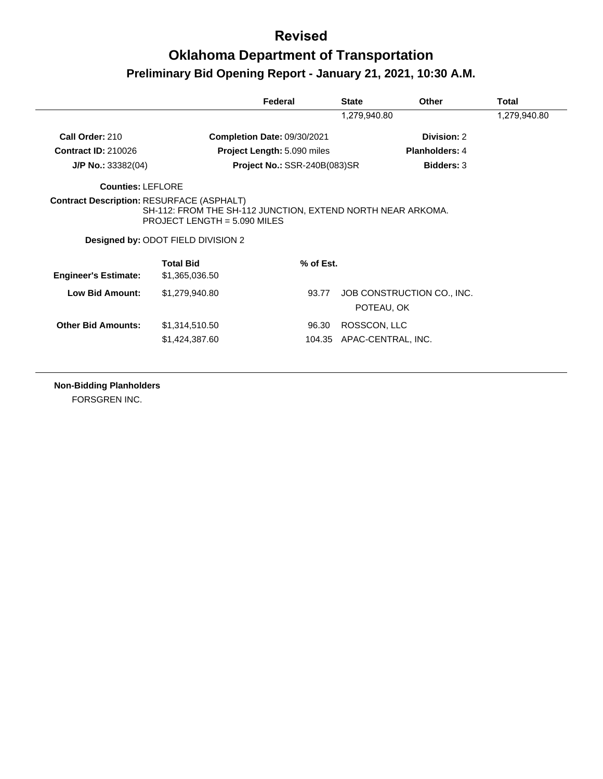## **Oklahoma Department of Transportation Preliminary Bid Opening Report - January 21, 2021, 10:30 A.M.**

|                                                  |                                                                                                                                     | Federal                      | <b>State</b> | Other                      | Total        |
|--------------------------------------------------|-------------------------------------------------------------------------------------------------------------------------------------|------------------------------|--------------|----------------------------|--------------|
|                                                  |                                                                                                                                     |                              | 1,279,940.80 |                            | 1,279,940.80 |
| Call Order: 210                                  |                                                                                                                                     | Completion Date: 09/30/2021  |              | Division: 2                |              |
| <b>Contract ID: 210026</b>                       |                                                                                                                                     | Project Length: 5.090 miles  |              | <b>Planholders: 4</b>      |              |
| $J/P$ No.: 33382(04)                             |                                                                                                                                     | Project No.: SSR-240B(083)SR |              | <b>Bidders: 3</b>          |              |
| Counties: LEFLORE                                |                                                                                                                                     |                              |              |                            |              |
|                                                  |                                                                                                                                     |                              |              |                            |              |
| <b>Contract Description: RESURFACE (ASPHALT)</b> | SH-112: FROM THE SH-112 JUNCTION, EXTEND NORTH NEAR ARKOMA.<br>PROJECT LENGTH = $5.090$ MILES<br>Designed by: ODOT FIELD DIVISION 2 |                              |              |                            |              |
| <b>Engineer's Estimate:</b>                      | <b>Total Bid</b><br>\$1,365,036.50                                                                                                  | $%$ of Est.                  |              |                            |              |
| <b>Low Bid Amount:</b>                           | \$1,279,940.80                                                                                                                      | 93.77                        | POTEAU, OK   | JOB CONSTRUCTION CO., INC. |              |
| <b>Other Bid Amounts:</b>                        | \$1,314,510.50                                                                                                                      | 96.30                        | ROSSCON, LLC |                            |              |

**Non-Bidding Planholders**

FORSGREN INC.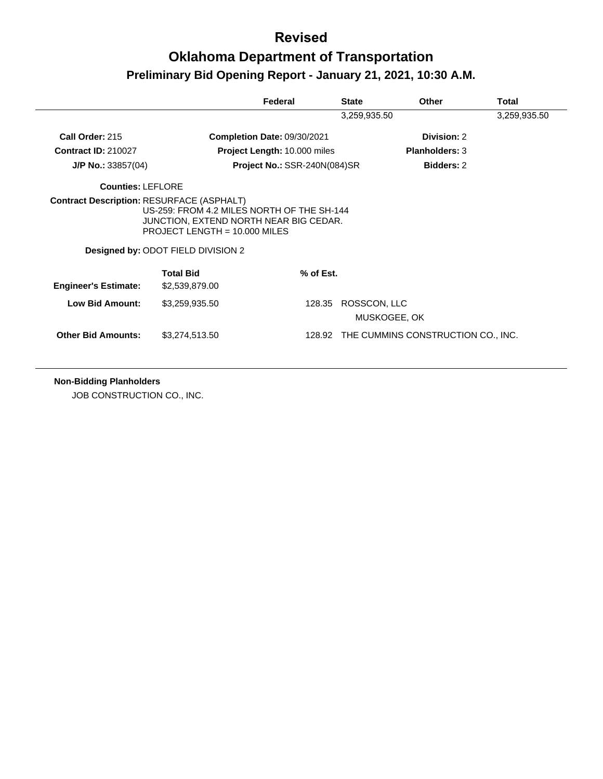# **Oklahoma Department of Transportation Preliminary Bid Opening Report - January 21, 2021, 10:30 A.M.**

|                                                  |                                                                                                                                                               | Federal                             | <b>State</b> | Other                              | <b>Total</b> |  |
|--------------------------------------------------|---------------------------------------------------------------------------------------------------------------------------------------------------------------|-------------------------------------|--------------|------------------------------------|--------------|--|
|                                                  |                                                                                                                                                               | 3,259,935.50                        |              |                                    |              |  |
| Call Order: 215                                  |                                                                                                                                                               | Completion Date: 09/30/2021         |              | Division: 2                        |              |  |
| <b>Contract ID: 210027</b>                       |                                                                                                                                                               | <b>Project Length: 10.000 miles</b> |              | <b>Planholders: 3</b>              |              |  |
| $J/P$ No.: 33857(04)                             |                                                                                                                                                               | Project No.: SSR-240N(084)SR        |              | <b>Bidders: 2</b>                  |              |  |
| <b>Counties: LEFLORE</b>                         |                                                                                                                                                               |                                     |              |                                    |              |  |
| <b>Contract Description: RESURFACE (ASPHALT)</b> | US-259: FROM 4.2 MILES NORTH OF THE SH-144<br>JUNCTION, EXTEND NORTH NEAR BIG CEDAR.<br>PROJECT LENGTH = $10.000$ MILES<br>Designed by: ODOT FIELD DIVISION 2 |                                     |              |                                    |              |  |
|                                                  | <b>Total Bid</b>                                                                                                                                              | % of Est.                           |              |                                    |              |  |
| <b>Engineer's Estimate:</b>                      | \$2,539,879.00                                                                                                                                                |                                     |              |                                    |              |  |
| <b>Low Bid Amount:</b>                           | \$3,259,935.50                                                                                                                                                | 128.35                              | ROSSCON, LLC | MUSKOGEE, OK                       |              |  |
| <b>Other Bid Amounts:</b>                        | \$3,274,513.50                                                                                                                                                | 128.92                              |              | THE CUMMINS CONSTRUCTION CO., INC. |              |  |

**Non-Bidding Planholders**

JOB CONSTRUCTION CO., INC.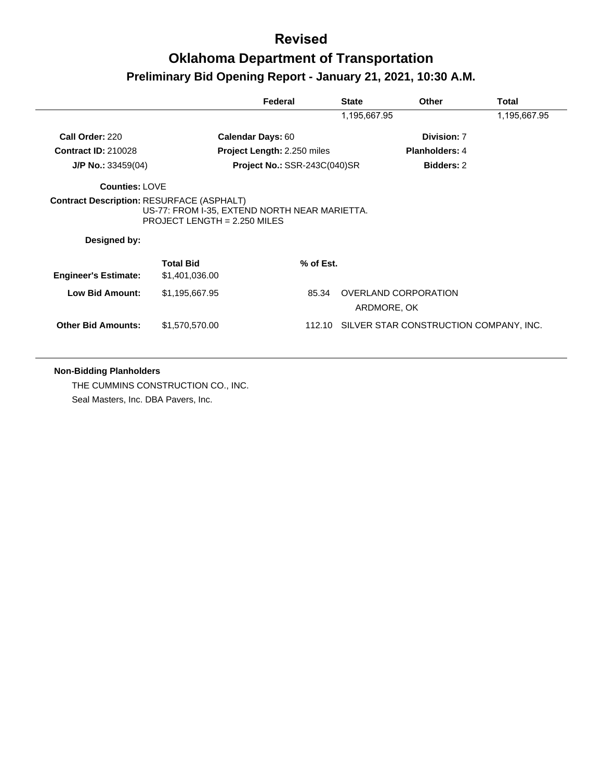|                                                                  |                                                                               | Federal                      | <b>State</b> | <b>Other</b>          | Total        |
|------------------------------------------------------------------|-------------------------------------------------------------------------------|------------------------------|--------------|-----------------------|--------------|
|                                                                  |                                                                               |                              | 1,195,667.95 |                       | 1,195,667.95 |
| Call Order: 220                                                  | <b>Calendar Days: 60</b>                                                      |                              |              | Division: 7           |              |
| <b>Contract ID: 210028</b>                                       |                                                                               | Project Length: 2.250 miles  |              | <b>Planholders: 4</b> |              |
| <b>J/P No.:</b> $33459(04)$                                      |                                                                               | Project No.: SSR-243C(040)SR |              | <b>Bidders: 2</b>     |              |
| <b>Counties: LOVE</b>                                            |                                                                               |                              |              |                       |              |
| <b>Contract Description: RESURFACE (ASPHALT)</b><br>Designed by: | US-77: FROM I-35, EXTEND NORTH NEAR MARIETTA.<br>PROJECT LENGTH = 2.250 MILES |                              |              |                       |              |
| <b>Engineer's Estimate:</b>                                      | <b>Total Bid</b><br>\$1,401,036.00                                            | % of Est.                    |              |                       |              |
| <b>Low Bid Amount:</b>                                           | \$1,195,667.95                                                                | 85.34                        |              | OVERLAND CORPORATION  |              |
|                                                                  |                                                                               |                              |              | ARDMORE, OK           |              |

#### **Non-Bidding Planholders**

THE CUMMINS CONSTRUCTION CO., INC. Seal Masters, Inc. DBA Pavers, Inc.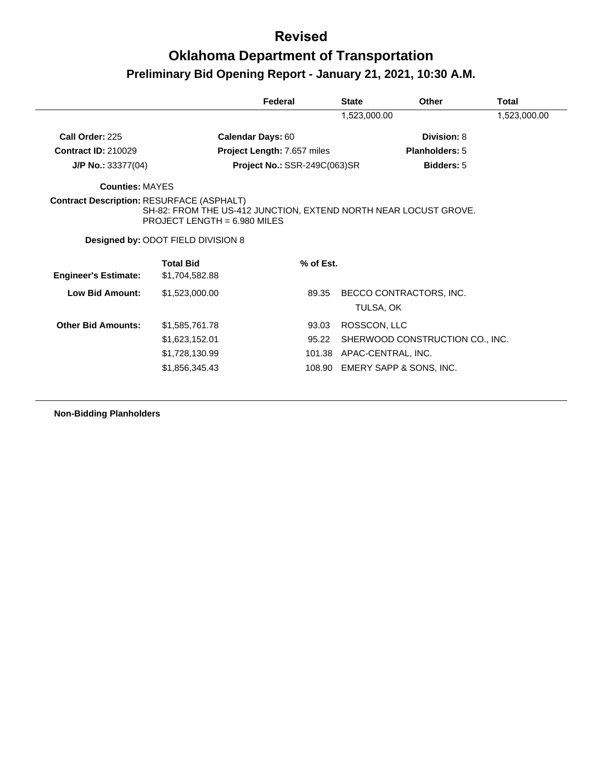## **Oklahoma Department of Transportation Preliminary Bid Opening Report - January 21, 2021, 10:30 A.M.**

|                                                  |                                                                                                    | Federal                      | <b>State</b>              | Other                           | Total        |
|--------------------------------------------------|----------------------------------------------------------------------------------------------------|------------------------------|---------------------------|---------------------------------|--------------|
|                                                  |                                                                                                    |                              | 1,523,000.00              |                                 | 1,523,000.00 |
| Call Order: 225                                  |                                                                                                    | <b>Calendar Days: 60</b>     |                           | Division: 8                     |              |
| <b>Contract ID: 210029</b>                       |                                                                                                    | Project Length: 7.657 miles  |                           | <b>Planholders: 5</b>           |              |
| <b>J/P No.:</b> $33377(04)$                      |                                                                                                    | Project No.: SSR-249C(063)SR |                           | <b>Bidders: 5</b>               |              |
| <b>Counties: MAYES</b>                           |                                                                                                    |                              |                           |                                 |              |
| <b>Contract Description: RESURFACE (ASPHALT)</b> | SH-82: FROM THE US-412 JUNCTION, EXTEND NORTH NEAR LOCUST GROVE.<br>PROJECT LENGTH = $6.980$ MILES |                              |                           |                                 |              |
|                                                  | Designed by: ODOT FIELD DIVISION 8                                                                 |                              |                           |                                 |              |
|                                                  | <b>Total Bid</b>                                                                                   | % of Est.                    |                           |                                 |              |
| <b>Engineer's Estimate:</b>                      | \$1,704,582.88                                                                                     |                              |                           |                                 |              |
|                                                  |                                                                                                    |                              |                           |                                 |              |
| <b>Low Bid Amount:</b>                           | \$1,523,000.00                                                                                     | 89.35                        | TULSA, OK                 | BECCO CONTRACTORS, INC.         |              |
| <b>Other Bid Amounts:</b>                        | \$1,585,761.78                                                                                     | 93.03                        | ROSSCON, LLC              |                                 |              |
|                                                  | \$1,623,152.01                                                                                     | 95.22                        |                           | SHERWOOD CONSTRUCTION CO., INC. |              |
|                                                  | \$1,728,130.99                                                                                     |                              | 101.38 APAC-CENTRAL, INC. |                                 |              |

**Non-Bidding Planholders**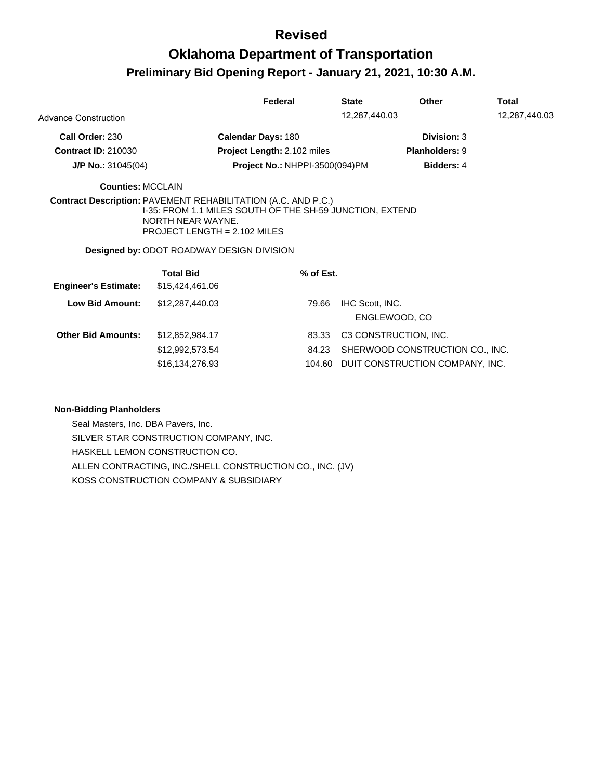# **Oklahoma Department of Transportation Preliminary Bid Opening Report - January 21, 2021, 10:30 A.M.**

|                             |                                                                                                                                                                                                                                             | Federal                               | <b>State</b>    | <b>Other</b>                                                                                | <b>Total</b>  |
|-----------------------------|---------------------------------------------------------------------------------------------------------------------------------------------------------------------------------------------------------------------------------------------|---------------------------------------|-----------------|---------------------------------------------------------------------------------------------|---------------|
| Advance Construction        |                                                                                                                                                                                                                                             |                                       | 12,287,440.03   |                                                                                             | 12,287,440.03 |
| Call Order: 230             |                                                                                                                                                                                                                                             | <b>Calendar Days: 180</b>             |                 | Division: 3                                                                                 |               |
| <b>Contract ID: 210030</b>  |                                                                                                                                                                                                                                             | Project Length: 2.102 miles           |                 | <b>Planholders: 9</b>                                                                       |               |
| $J/P$ No.: 31045(04)        |                                                                                                                                                                                                                                             | <b>Project No.: NHPPI-3500(094)PM</b> |                 | <b>Bidders: 4</b>                                                                           |               |
| <b>Counties: MCCLAIN</b>    |                                                                                                                                                                                                                                             |                                       |                 |                                                                                             |               |
|                             | <b>Contract Description: PAVEMENT REHABILITATION (A.C. AND P.C.)</b><br>I-35: FROM 1.1 MILES SOUTH OF THE SH-59 JUNCTION, EXTEND<br>NORTH NEAR WAYNE.<br>PROJECT LENGTH = $2.102$ MILES<br><b>Designed by: ODOT ROADWAY DESIGN DIVISION</b> |                                       |                 |                                                                                             |               |
| <b>Engineer's Estimate:</b> | <b>Total Bid</b><br>\$15,424,461.06                                                                                                                                                                                                         | % of Est.                             |                 |                                                                                             |               |
| Low Bid Amount:             | \$12,287,440.03                                                                                                                                                                                                                             | 79.66                                 | IHC Scott, INC. | ENGLEWOOD, CO                                                                               |               |
| <b>Other Bid Amounts:</b>   | \$12,852,984.17<br>\$12,992,573.54<br>\$16,134,276.93                                                                                                                                                                                       | 83.33<br>84.23<br>104.60              |                 | C3 CONSTRUCTION, INC.<br>SHERWOOD CONSTRUCTION CO., INC.<br>DUIT CONSTRUCTION COMPANY, INC. |               |

#### **Non-Bidding Planholders**

Seal Masters, Inc. DBA Pavers, Inc. SILVER STAR CONSTRUCTION COMPANY, INC. HASKELL LEMON CONSTRUCTION CO. ALLEN CONTRACTING, INC./SHELL CONSTRUCTION CO., INC. (JV) KOSS CONSTRUCTION COMPANY & SUBSIDIARY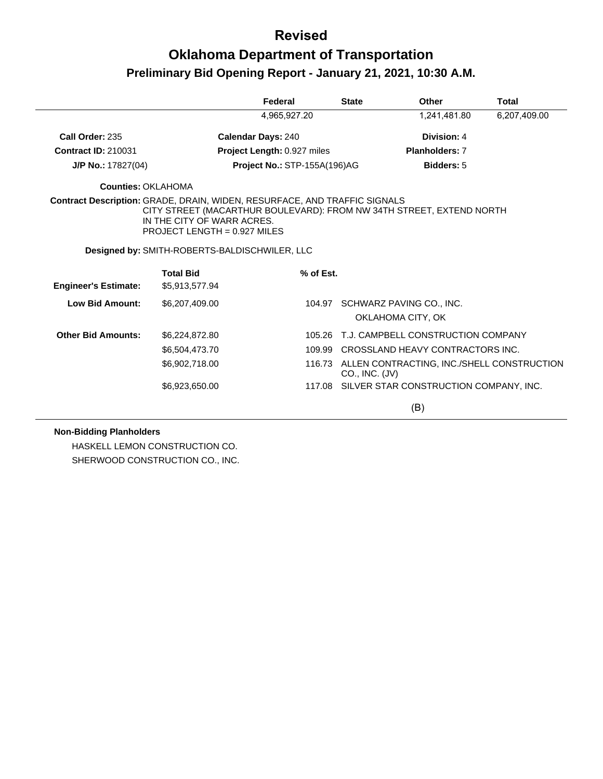## **Oklahoma Department of Transportation Preliminary Bid Opening Report - January 21, 2021, 10:30 A.M.**

|                                                                                  |                                                                                                                                    | Federal                             |           | <b>State</b>   | Other                                             | <b>Total</b> |
|----------------------------------------------------------------------------------|------------------------------------------------------------------------------------------------------------------------------------|-------------------------------------|-----------|----------------|---------------------------------------------------|--------------|
|                                                                                  |                                                                                                                                    | 4,965,927.20                        |           |                | 1,241,481.80                                      | 6,207,409.00 |
| Call Order: 235                                                                  |                                                                                                                                    | <b>Calendar Days: 240</b>           |           |                | Division: 4                                       |              |
| <b>Contract ID: 210031</b>                                                       |                                                                                                                                    | Project Length: 0.927 miles         |           |                | <b>Planholders: 7</b>                             |              |
| $J/P$ No.: 17827(04)                                                             |                                                                                                                                    | <b>Project No.: STP-155A(196)AG</b> |           |                | <b>Bidders: 5</b>                                 |              |
| Counties: OKLAHOMA                                                               |                                                                                                                                    |                                     |           |                |                                                   |              |
| <b>Contract Description: GRADE, DRAIN, WIDEN, RESURFACE, AND TRAFFIC SIGNALS</b> | CITY STREET (MACARTHUR BOULEVARD): FROM NW 34TH STREET, EXTEND NORTH<br>IN THE CITY OF WARR ACRES.<br>PROJECT LENGTH = 0.927 MILES |                                     |           |                |                                                   |              |
|                                                                                  | Designed by: SMITH-ROBERTS-BALDISCHWILER, LLC                                                                                      |                                     |           |                |                                                   |              |
|                                                                                  | <b>Total Bid</b>                                                                                                                   |                                     | % of Est. |                |                                                   |              |
| <b>Engineer's Estimate:</b>                                                      | \$5,913,577.94                                                                                                                     |                                     |           |                |                                                   |              |
| <b>Low Bid Amount:</b>                                                           | \$6,207,409.00                                                                                                                     |                                     |           |                | 104.97 SCHWARZ PAVING CO., INC.                   |              |
|                                                                                  |                                                                                                                                    |                                     |           |                | OKLAHOMA CITY, OK                                 |              |
| <b>Other Bid Amounts:</b>                                                        | \$6,224,872.80                                                                                                                     |                                     | 105.26    |                | T.J. CAMPBELL CONSTRUCTION COMPANY                |              |
|                                                                                  | \$6,504,473.70                                                                                                                     |                                     | 109.99    |                | CROSSLAND HEAVY CONTRACTORS INC.                  |              |
|                                                                                  | \$6,902,718.00                                                                                                                     |                                     |           | CO., INC. (JV) | 116.73 ALLEN CONTRACTING, INC./SHELL CONSTRUCTION |              |
|                                                                                  | \$6,923,650.00                                                                                                                     |                                     |           |                | 117.08 SILVER STAR CONSTRUCTION COMPANY, INC.     |              |
|                                                                                  |                                                                                                                                    |                                     |           |                | (B)                                               |              |

#### **Non-Bidding Planholders**

HASKELL LEMON CONSTRUCTION CO. SHERWOOD CONSTRUCTION CO., INC.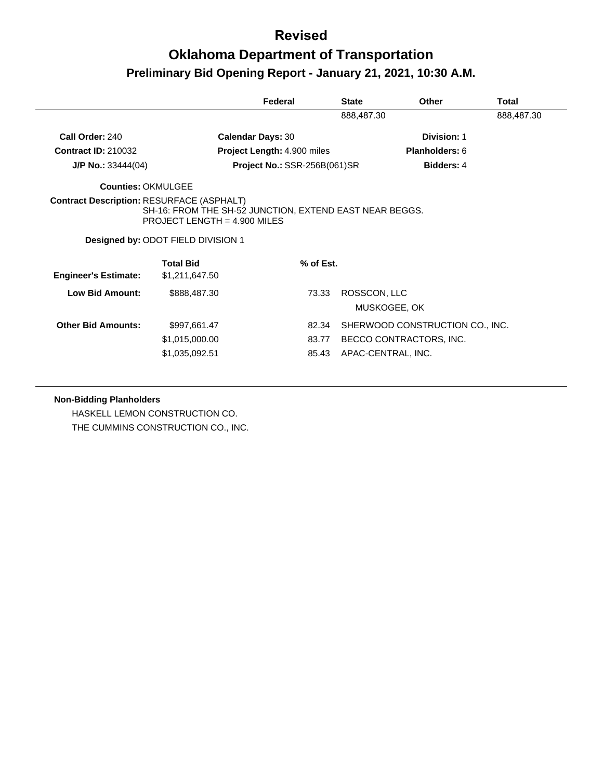## **Oklahoma Department of Transportation Preliminary Bid Opening Report - January 21, 2021, 10:30 A.M.**

|                                                  |                                                                                                                                 | Federal                      | <b>State</b> | <b>Other</b>                                                                     | Total      |
|--------------------------------------------------|---------------------------------------------------------------------------------------------------------------------------------|------------------------------|--------------|----------------------------------------------------------------------------------|------------|
|                                                  |                                                                                                                                 |                              | 888,487.30   |                                                                                  | 888,487.30 |
| Call Order: 240                                  |                                                                                                                                 | <b>Calendar Days: 30</b>     |              | Division: 1                                                                      |            |
| <b>Contract ID: 210032</b>                       |                                                                                                                                 | Project Length: 4.900 miles  |              | Planholders: 6                                                                   |            |
| $J/P$ No.: 33444(04)                             |                                                                                                                                 | Project No.: SSR-256B(061)SR |              | <b>Bidders: 4</b>                                                                |            |
| <b>Counties: OKMULGEE</b>                        |                                                                                                                                 |                              |              |                                                                                  |            |
| <b>Contract Description: RESURFACE (ASPHALT)</b> | SH-16: FROM THE SH-52 JUNCTION, EXTEND EAST NEAR BEGGS.<br>PROJECT LENGTH = $4.900$ MILES<br>Designed by: ODOT FIELD DIVISION 1 |                              |              |                                                                                  |            |
| <b>Engineer's Estimate:</b>                      | <b>Total Bid</b><br>\$1,211,647.50                                                                                              | % of Est.                    |              |                                                                                  |            |
| Low Bid Amount:                                  | \$888,487.30                                                                                                                    | 73.33                        | ROSSCON, LLC | MUSKOGEE, OK                                                                     |            |
| <b>Other Bid Amounts:</b>                        | \$997,661.47<br>\$1,015,000.00<br>\$1,035,092.51                                                                                | 82.34<br>83.77<br>85.43      |              | SHERWOOD CONSTRUCTION CO., INC.<br>BECCO CONTRACTORS, INC.<br>APAC-CENTRAL, INC. |            |

#### **Non-Bidding Planholders**

HASKELL LEMON CONSTRUCTION CO. THE CUMMINS CONSTRUCTION CO., INC.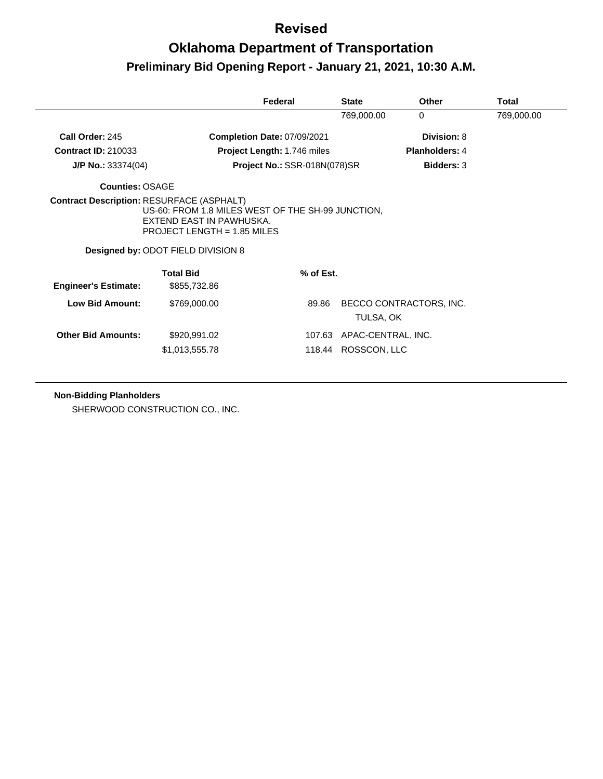|                             |                                                                                                                                                      | Federal                            | <b>State</b>              | <b>Other</b>            | Total      |
|-----------------------------|------------------------------------------------------------------------------------------------------------------------------------------------------|------------------------------------|---------------------------|-------------------------|------------|
|                             |                                                                                                                                                      |                                    | 769,000.00                | $\mathbf{0}$            | 769,000.00 |
| Call Order: 245             |                                                                                                                                                      | Completion Date: 07/09/2021        |                           | Division: 8             |            |
| <b>Contract ID: 210033</b>  |                                                                                                                                                      | <b>Project Length: 1.746 miles</b> |                           | <b>Planholders: 4</b>   |            |
| $J/P$ No.: 33374(04)        |                                                                                                                                                      | Project No.: SSR-018N(078)SR       |                           | <b>Bidders: 3</b>       |            |
| Counties: OSAGE             |                                                                                                                                                      |                                    |                           |                         |            |
|                             | US-60: FROM 1.8 MILES WEST OF THE SH-99 JUNCTION,<br>EXTEND EAST IN PAWHUSKA.<br>PROJECT LENGTH = $1.85$ MILES<br>Designed by: ODOT FIELD DIVISION 8 |                                    |                           |                         |            |
| <b>Engineer's Estimate:</b> | <b>Total Bid</b><br>\$855,732.86                                                                                                                     | % of Est.                          |                           |                         |            |
| Low Bid Amount:             | \$769,000.00                                                                                                                                         | 89.86                              | TULSA, OK                 | BECCO CONTRACTORS, INC. |            |
| <b>Other Bid Amounts:</b>   | \$920,991.02                                                                                                                                         |                                    | 107.63 APAC-CENTRAL, INC. |                         |            |
|                             | \$1,013,555.78                                                                                                                                       | 118.44                             | ROSSCON, LLC              |                         |            |

#### **Non-Bidding Planholders**

SHERWOOD CONSTRUCTION CO., INC.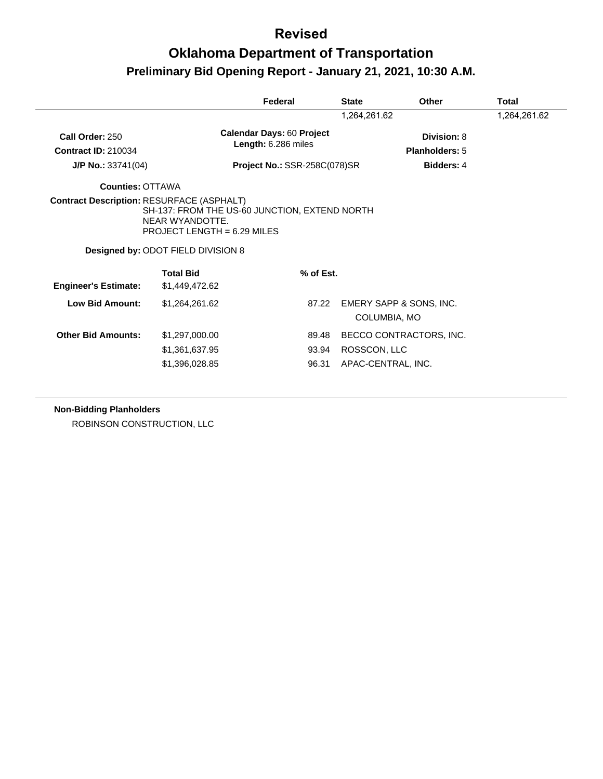## **Oklahoma Department of Transportation Preliminary Bid Opening Report - January 21, 2021, 10:30 A.M.**

|                                               |                                                                                                                                              | Federal                                                 | <b>State</b> | Other                                   | Total |
|-----------------------------------------------|----------------------------------------------------------------------------------------------------------------------------------------------|---------------------------------------------------------|--------------|-----------------------------------------|-------|
|                                               |                                                                                                                                              |                                                         | 1,264,261.62 | 1,264,261.62                            |       |
| Call Order: 250<br><b>Contract ID: 210034</b> |                                                                                                                                              | <b>Calendar Days: 60 Project</b><br>Length: 6.286 miles |              | Division: 8<br>Planholders: 5           |       |
| J/P No.: 33741(04)                            |                                                                                                                                              | Project No.: SSR-258C(078)SR                            |              | Bidders: 4                              |       |
| <b>Counties: OTTAWA</b>                       |                                                                                                                                              |                                                         |              |                                         |       |
|                                               | SH-137: FROM THE US-60 JUNCTION, EXTEND NORTH<br>NEAR WYANDOTTE.<br>PROJECT LENGTH = 6.29 MILES<br><b>Designed by: ODOT FIELD DIVISION 8</b> |                                                         |              |                                         |       |
|                                               |                                                                                                                                              |                                                         |              |                                         |       |
| <b>Engineer's Estimate:</b>                   | <b>Total Bid</b><br>\$1,449,472.62                                                                                                           | % of Est.                                               |              |                                         |       |
| <b>Low Bid Amount:</b>                        | \$1,264,261.62                                                                                                                               | 87.22                                                   |              | EMERY SAPP & SONS, INC.<br>COLUMBIA, MO |       |
| <b>Other Bid Amounts:</b>                     | \$1,297,000.00                                                                                                                               | 89.48                                                   |              | BECCO CONTRACTORS, INC.                 |       |
|                                               | \$1,361,637.95                                                                                                                               | 93.94                                                   | ROSSCON, LLC |                                         |       |

**Non-Bidding Planholders**

ROBINSON CONSTRUCTION, LLC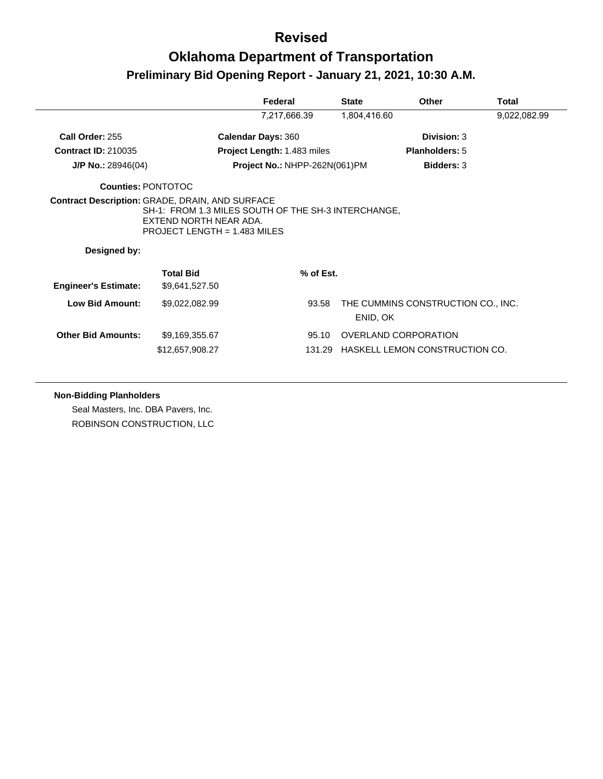# **Oklahoma Department of Transportation Preliminary Bid Opening Report - January 21, 2021, 10:30 A.M.**

|                             |                                                                                                                                                                    | Federal                            | <b>State</b>                | Other                              | Total        |
|-----------------------------|--------------------------------------------------------------------------------------------------------------------------------------------------------------------|------------------------------------|-----------------------------|------------------------------------|--------------|
|                             |                                                                                                                                                                    | 7,217,666.39                       | 1,804,416.60                |                                    | 9,022,082.99 |
| Call Order: 255             | <b>Calendar Days: 360</b>                                                                                                                                          |                                    |                             | Division: 3                        |              |
| <b>Contract ID: 210035</b>  |                                                                                                                                                                    | <b>Project Length: 1.483 miles</b> |                             | <b>Planholders: 5</b>              |              |
| $J/P$ No.: 28946(04)        |                                                                                                                                                                    | Project No.: NHPP-262N(061)PM      |                             | <b>Bidders: 3</b>                  |              |
| <b>Counties: PONTOTOC</b>   |                                                                                                                                                                    |                                    |                             |                                    |              |
| Designed by:                | Contract Description: GRADE, DRAIN, AND SURFACE<br>SH-1: FROM 1.3 MILES SOUTH OF THE SH-3 INTERCHANGE,<br>EXTEND NORTH NEAR ADA.<br>PROJECT LENGTH = $1.483$ MILES |                                    |                             |                                    |              |
| <b>Engineer's Estimate:</b> | <b>Total Bid</b><br>\$9,641,527.50                                                                                                                                 | % of Est.                          |                             |                                    |              |
| <b>Low Bid Amount:</b>      | \$9,022,082.99                                                                                                                                                     | 93.58                              | ENID, OK                    | THE CUMMINS CONSTRUCTION CO., INC. |              |
| <b>Other Bid Amounts:</b>   | \$9,169,355.67<br>\$12,657,908.27                                                                                                                                  | 95.10<br>131.29                    | <b>OVERLAND CORPORATION</b> | HASKELL LEMON CONSTRUCTION CO.     |              |

#### **Non-Bidding Planholders**

Seal Masters, Inc. DBA Pavers, Inc. ROBINSON CONSTRUCTION, LLC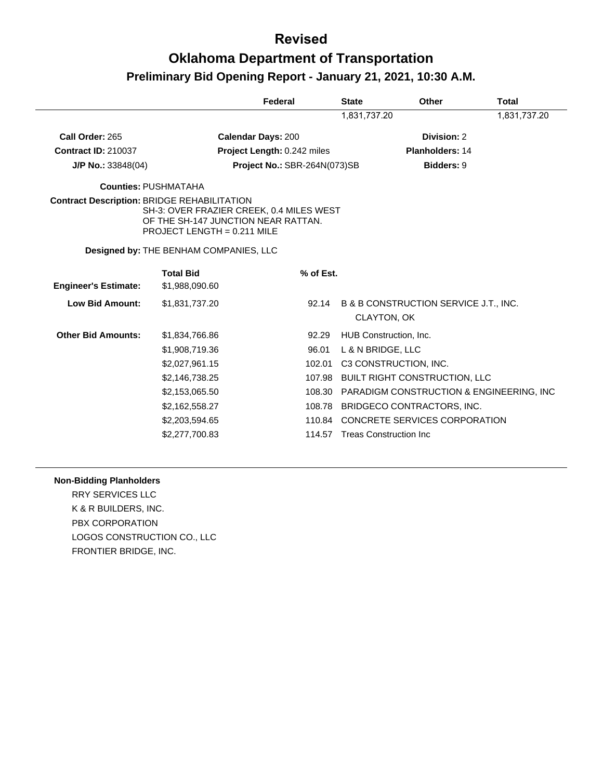## **Oklahoma Department of Transportation Preliminary Bid Opening Report - January 21, 2021, 10:30 A.M.**

|                                                    |                                                                                                                  | Federal                      | <b>State</b>      | Other                                                           | <b>Total</b> |
|----------------------------------------------------|------------------------------------------------------------------------------------------------------------------|------------------------------|-------------------|-----------------------------------------------------------------|--------------|
|                                                    |                                                                                                                  |                              | 1,831,737.20      |                                                                 | 1,831,737.20 |
| Call Order: 265                                    |                                                                                                                  | <b>Calendar Days: 200</b>    |                   | Division: 2                                                     |              |
| <b>Contract ID: 210037</b>                         |                                                                                                                  | Project Length: 0.242 miles  |                   | Planholders: 14                                                 |              |
| $J/P$ No.: 33848(04)                               |                                                                                                                  | Project No.: SBR-264N(073)SB |                   | <b>Bidders: 9</b>                                               |              |
|                                                    | <b>Counties: PUSHMATAHA</b>                                                                                      |                              |                   |                                                                 |              |
| <b>Contract Description: BRIDGE REHABILITATION</b> | SH-3: OVER FRAZIER CREEK, 0.4 MILES WEST<br>OF THE SH-147 JUNCTION NEAR RATTAN.<br>PROJECT LENGTH = $0.211$ MILE |                              |                   |                                                                 |              |
|                                                    | Designed by: THE BENHAM COMPANIES, LLC                                                                           |                              |                   |                                                                 |              |
| <b>Engineer's Estimate:</b>                        | <b>Total Bid</b><br>\$1,988,090.60                                                                               | % of Est.                    |                   |                                                                 |              |
| <b>Low Bid Amount:</b>                             | \$1,831,737.20                                                                                                   | 92.14                        |                   | <b>B &amp; B CONSTRUCTION SERVICE J.T., INC.</b><br>CLAYTON, OK |              |
| <b>Other Bid Amounts:</b>                          | \$1,834,766.86                                                                                                   | 92.29                        |                   | HUB Construction, Inc.                                          |              |
|                                                    | \$1,908,719.36                                                                                                   | 96.01                        | L & N BRIDGE, LLC |                                                                 |              |
|                                                    | \$2,027,961.15                                                                                                   | 102.01                       |                   | C3 CONSTRUCTION, INC.                                           |              |
|                                                    | \$2,146,738.25                                                                                                   | 107.98                       |                   | <b>BUILT RIGHT CONSTRUCTION, LLC</b>                            |              |
|                                                    | \$2,153,065.50                                                                                                   | 108.30                       |                   | <b>PARADIGM CONSTRUCTION &amp; ENGINEERING, INC.</b>            |              |
|                                                    | \$2,162,558.27                                                                                                   | 108.78                       |                   | BRIDGECO CONTRACTORS, INC.                                      |              |
|                                                    | \$2,203,594.65                                                                                                   | 110.84                       |                   | CONCRETE SERVICES CORPORATION                                   |              |
|                                                    | \$2,277,700.83                                                                                                   | 114.57                       |                   | <b>Treas Construction Inc.</b>                                  |              |

#### **Non-Bidding Planholders**

RRY SERVICES LLC K & R BUILDERS, INC. PBX CORPORATION LOGOS CONSTRUCTION CO., LLC FRONTIER BRIDGE, INC.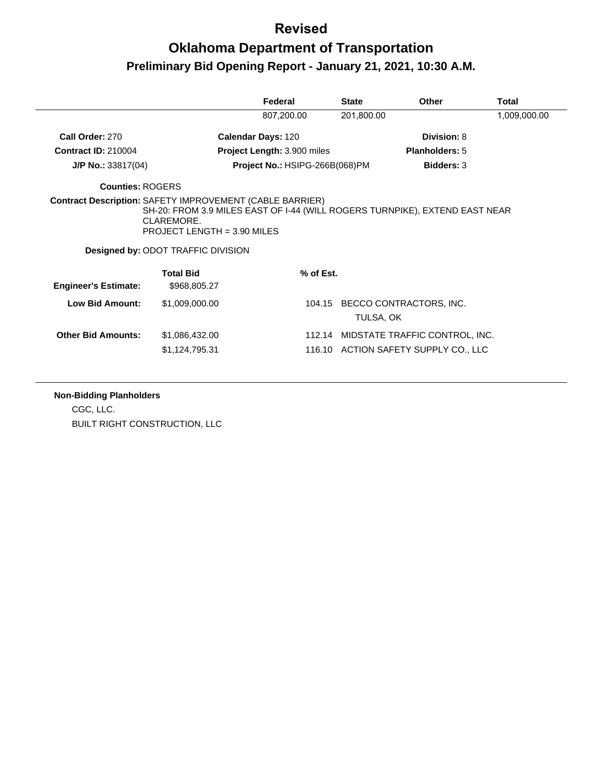|                                                                 |                                                                                                                                                                       | Federal                        | <b>State</b> | Other                                                           | Total        |
|-----------------------------------------------------------------|-----------------------------------------------------------------------------------------------------------------------------------------------------------------------|--------------------------------|--------------|-----------------------------------------------------------------|--------------|
|                                                                 |                                                                                                                                                                       | 807,200.00                     | 201,800.00   |                                                                 | 1,009,000.00 |
| Call Order: 270                                                 |                                                                                                                                                                       | <b>Calendar Days: 120</b>      |              | Division: 8                                                     |              |
| <b>Contract ID: 210004</b>                                      |                                                                                                                                                                       | Project Length: 3.900 miles    |              | <b>Planholders: 5</b>                                           |              |
| $J/P$ No.: 33817(04)                                            |                                                                                                                                                                       | Project No.: HSIPG-266B(068)PM |              | <b>Bidders: 3</b>                                               |              |
| <b>Counties: ROGERS</b>                                         |                                                                                                                                                                       |                                |              |                                                                 |              |
| <b>Contract Description: SAFETY IMPROVEMENT (CABLE BARRIER)</b> | SH-20: FROM 3.9 MILES EAST OF I-44 (WILL ROGERS TURNPIKE), EXTEND EAST NEAR<br>CLAREMORE.<br>PROJECT LENGTH = 3.90 MILES<br><b>Designed by: ODOT TRAFFIC DIVISION</b> |                                |              |                                                                 |              |
| <b>Engineer's Estimate:</b>                                     | <b>Total Bid</b><br>\$968,805.27                                                                                                                                      | % of Est.                      |              |                                                                 |              |
| <b>Low Bid Amount:</b>                                          | \$1,009,000.00                                                                                                                                                        | 104.15                         | TULSA, OK    | BECCO CONTRACTORS, INC.                                         |              |
| <b>Other Bid Amounts:</b>                                       | \$1,086,432.00<br>\$1,124,795.31                                                                                                                                      | 112.14<br>116.10               |              | MIDSTATE TRAFFIC CONTROL, INC.<br>ACTION SAFETY SUPPLY CO., LLC |              |

#### **Non-Bidding Planholders**

CGC, LLC. BUILT RIGHT CONSTRUCTION, LLC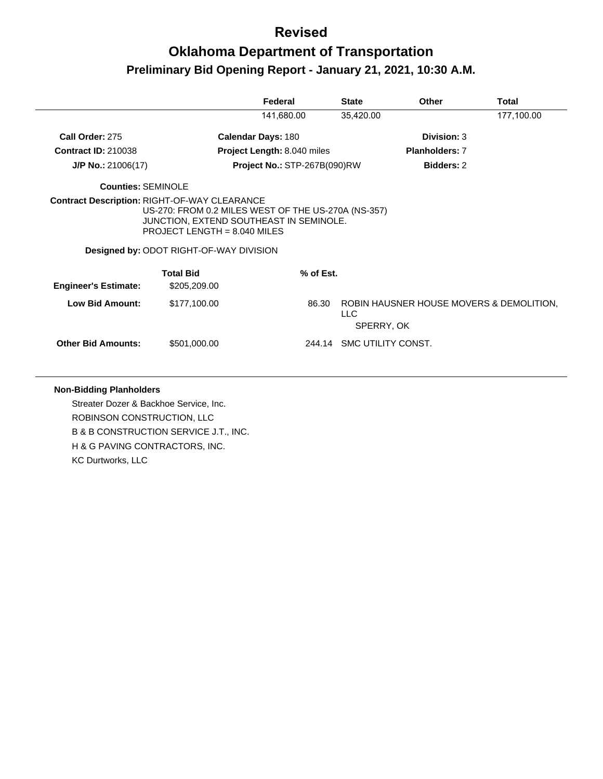# **Oklahoma Department of Transportation Preliminary Bid Opening Report - January 21, 2021, 10:30 A.M.**

|                             |                                                                                                                                                                                                                                           | Federal                             | <b>State</b>              | Other                                    | <b>Total</b> |
|-----------------------------|-------------------------------------------------------------------------------------------------------------------------------------------------------------------------------------------------------------------------------------------|-------------------------------------|---------------------------|------------------------------------------|--------------|
|                             |                                                                                                                                                                                                                                           | 141,680.00                          | 35,420.00                 |                                          | 177,100.00   |
| Call Order: 275             | <b>Calendar Days: 180</b>                                                                                                                                                                                                                 |                                     |                           | Division: 3                              |              |
| <b>Contract ID: 210038</b>  |                                                                                                                                                                                                                                           | <b>Project Length: 8.040 miles</b>  |                           | <b>Planholders: 7</b>                    |              |
| $J/P$ No.: 21006(17)        |                                                                                                                                                                                                                                           | <b>Project No.: STP-267B(090)RW</b> |                           | <b>Bidders: 2</b>                        |              |
| Counties: SEMINOLE          |                                                                                                                                                                                                                                           |                                     |                           |                                          |              |
|                             | <b>Contract Description: RIGHT-OF-WAY CLEARANCE</b><br>US-270: FROM 0.2 MILES WEST OF THE US-270A (NS-357)<br>JUNCTION, EXTEND SOUTHEAST IN SEMINOLE.<br>PROJECT LENGTH = $8.040$ MILES<br><b>Designed by: ODOT RIGHT-OF-WAY DIVISION</b> |                                     |                           |                                          |              |
| <b>Engineer's Estimate:</b> | <b>Total Bid</b><br>\$205,209.00                                                                                                                                                                                                          | % of Est.                           |                           |                                          |              |
| Low Bid Amount:             | \$177,100.00                                                                                                                                                                                                                              | 86.30                               | LLC<br>SPERRY, OK         | ROBIN HAUSNER HOUSE MOVERS & DEMOLITION. |              |
| <b>Other Bid Amounts:</b>   | \$501,000.00                                                                                                                                                                                                                              |                                     | 244.14 SMC UTILITY CONST. |                                          |              |

#### **Non-Bidding Planholders**

Streater Dozer & Backhoe Service, Inc. ROBINSON CONSTRUCTION, LLC B & B CONSTRUCTION SERVICE J.T., INC. H & G PAVING CONTRACTORS, INC. KC Durtworks, LLC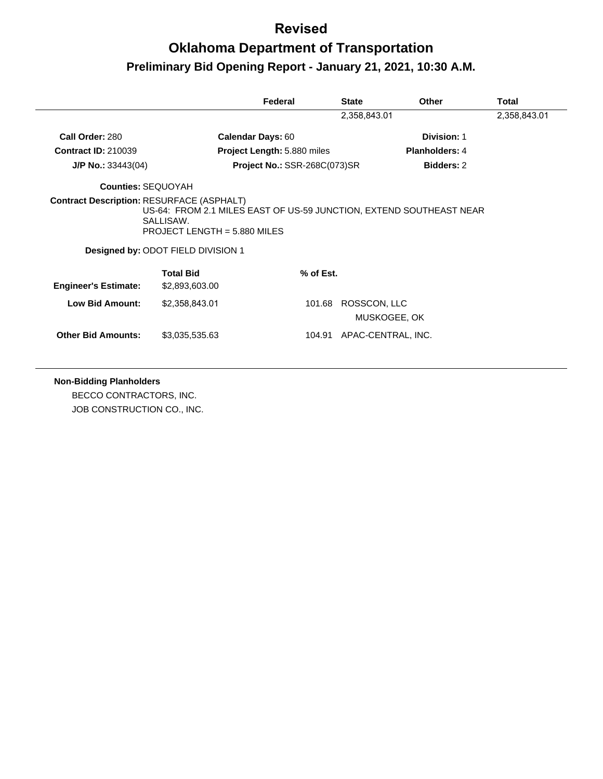|                             |                                                                                                                                                        | Federal                             | <b>State</b> | Other              | Total        |
|-----------------------------|--------------------------------------------------------------------------------------------------------------------------------------------------------|-------------------------------------|--------------|--------------------|--------------|
|                             |                                                                                                                                                        |                                     | 2,358,843.01 |                    | 2,358,843.01 |
| Call Order: 280             | <b>Calendar Days: 60</b>                                                                                                                               |                                     |              | Division: 1        |              |
| <b>Contract ID: 210039</b>  |                                                                                                                                                        | Project Length: 5.880 miles         |              | Planholders: 4     |              |
| $J/P$ No.: 33443(04)        |                                                                                                                                                        | <b>Project No.: SSR-268C(073)SR</b> |              | Bidders: 2         |              |
| <b>Counties: SEQUOYAH</b>   |                                                                                                                                                        |                                     |              |                    |              |
|                             | US-64: FROM 2.1 MILES EAST OF US-59 JUNCTION, EXTEND SOUTHEAST NEAR<br>SALLISAW.<br>PROJECT LENGTH = 5.880 MILES<br>Designed by: ODOT FIELD DIVISION 1 |                                     |              |                    |              |
| <b>Engineer's Estimate:</b> | <b>Total Bid</b><br>\$2,893,603.00                                                                                                                     | $%$ of Est.                         |              |                    |              |
| <b>Low Bid Amount:</b>      | \$2,358,843.01                                                                                                                                         | 101.68                              | ROSSCON, LLC | MUSKOGEE, OK       |              |
| <b>Other Bid Amounts:</b>   | \$3,035,535.63                                                                                                                                         | 104.91                              |              | APAC-CENTRAL, INC. |              |

**Non-Bidding Planholders** BECCO CONTRACTORS, INC. JOB CONSTRUCTION CO., INC.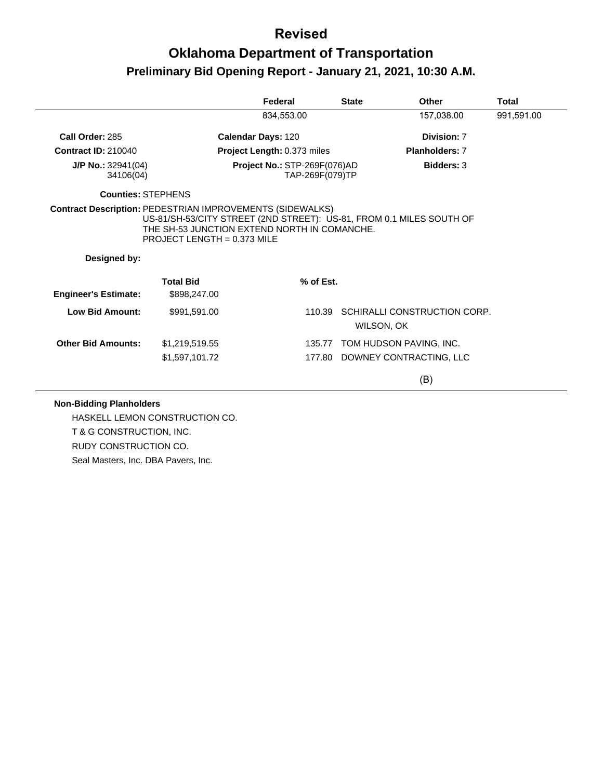# **Oklahoma Department of Transportation Preliminary Bid Opening Report - January 21, 2021, 10:30 A.M.**

|                                 |                                                                               | Federal                      | <b>State</b>    | Other                                                                | <b>Total</b> |
|---------------------------------|-------------------------------------------------------------------------------|------------------------------|-----------------|----------------------------------------------------------------------|--------------|
|                                 |                                                                               | 834,553.00                   |                 | 157,038.00                                                           | 991,591.00   |
| Call Order: 285                 |                                                                               | Calendar Days: 120           |                 | Division: 7                                                          |              |
| <b>Contract ID: 210040</b>      |                                                                               | Project Length: 0.373 miles  |                 | <b>Planholders: 7</b>                                                |              |
| J/P No.: 32941(04)<br>34106(04) |                                                                               | Project No.: STP-269F(076)AD | TAP-269F(079)TP | Bidders: 3                                                           |              |
| <b>Counties: STEPHENS</b>       |                                                                               |                              |                 |                                                                      |              |
| Designed by:                    | THE SH-53 JUNCTION EXTEND NORTH IN COMANCHE.<br>PROJECT LENGTH = $0.373$ MILE |                              |                 | US-81/SH-53/CITY STREET (2ND STREET): US-81, FROM 0.1 MILES SOUTH OF |              |
| <b>Engineer's Estimate:</b>     | <b>Total Bid</b><br>\$898,247.00                                              | % of Est.                    |                 |                                                                      |              |
| Low Bid Amount:                 | \$991,591.00                                                                  |                              | 110.39          | SCHIRALLI CONSTRUCTION CORP.<br>WILSON, OK                           |              |
| <b>Other Bid Amounts:</b>       | \$1,219,519.55                                                                |                              | 135.77          | TOM HUDSON PAVING, INC.                                              |              |
|                                 | \$1,597,101.72                                                                |                              |                 | 177.80 DOWNEY CONTRACTING, LLC                                       |              |
|                                 |                                                                               |                              |                 | (B)                                                                  |              |

#### **Non-Bidding Planholders**

HASKELL LEMON CONSTRUCTION CO. T & G CONSTRUCTION, INC. RUDY CONSTRUCTION CO. Seal Masters, Inc. DBA Pavers, Inc.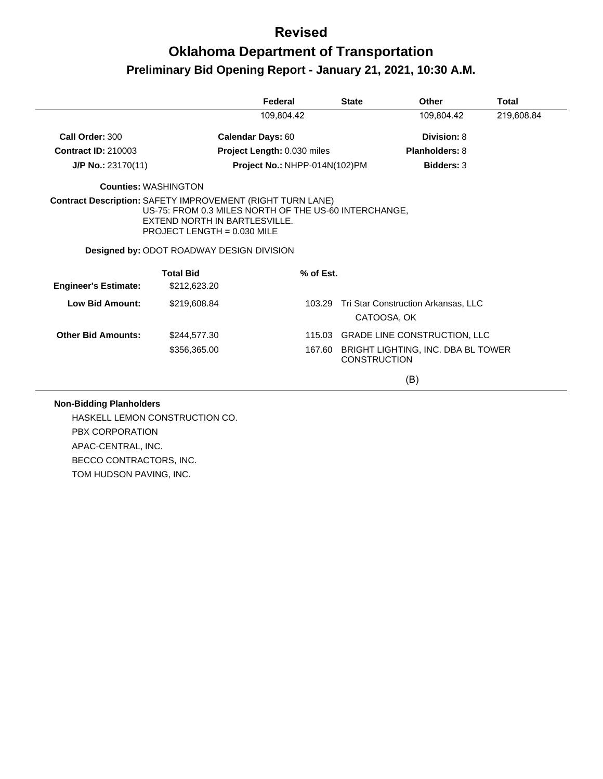# **Oklahoma Department of Transportation Preliminary Bid Opening Report - January 21, 2021, 10:30 A.M.**

|                             |                                                                                                                                                                                                                                                  | Federal                       | <b>State</b> | <b>Other</b>                                                     | Total                 |  |  |
|-----------------------------|--------------------------------------------------------------------------------------------------------------------------------------------------------------------------------------------------------------------------------------------------|-------------------------------|--------------|------------------------------------------------------------------|-----------------------|--|--|
|                             |                                                                                                                                                                                                                                                  | 109,804.42                    |              | 109,804.42                                                       | 219,608.84            |  |  |
| Call Order: 300             | <b>Calendar Days: 60</b>                                                                                                                                                                                                                         |                               |              | Division: 8                                                      |                       |  |  |
| <b>Contract ID: 210003</b>  |                                                                                                                                                                                                                                                  | Project Length: 0.030 miles   |              |                                                                  | <b>Planholders: 8</b> |  |  |
| $J/P$ No.: 23170(11)        |                                                                                                                                                                                                                                                  | Project No.: NHPP-014N(102)PM |              | <b>Bidders: 3</b>                                                |                       |  |  |
| <b>Counties: WASHINGTON</b> |                                                                                                                                                                                                                                                  |                               |              |                                                                  |                       |  |  |
|                             | <b>Contract Description: SAFETY IMPROVEMENT (RIGHT TURN LANE)</b><br>US-75: FROM 0.3 MILES NORTH OF THE US-60 INTERCHANGE,<br>EXTEND NORTH IN BARTLESVILLE.<br>PROJECT LENGTH = $0.030$ MILE<br><b>Designed by: ODOT ROADWAY DESIGN DIVISION</b> |                               |              |                                                                  |                       |  |  |
|                             | <b>Total Bid</b>                                                                                                                                                                                                                                 |                               | % of Est.    |                                                                  |                       |  |  |
| <b>Engineer's Estimate:</b> | \$212,623.20                                                                                                                                                                                                                                     |                               |              |                                                                  |                       |  |  |
| <b>Low Bid Amount:</b>      | \$219,608.84                                                                                                                                                                                                                                     |                               | 103.29       | Tri Star Construction Arkansas, LLC<br>CATOOSA, OK               |                       |  |  |
| <b>Other Bid Amounts:</b>   | \$244,577.30                                                                                                                                                                                                                                     |                               |              | 115.03 GRADE LINE CONSTRUCTION, LLC                              |                       |  |  |
|                             | \$356,365.00                                                                                                                                                                                                                                     |                               |              | 167.60 BRIGHT LIGHTING, INC. DBA BL TOWER<br><b>CONSTRUCTION</b> |                       |  |  |
|                             |                                                                                                                                                                                                                                                  |                               |              | (B)                                                              |                       |  |  |

#### **Non-Bidding Planholders**

HASKELL LEMON CONSTRUCTION CO. PBX CORPORATION APAC-CENTRAL, INC. BECCO CONTRACTORS, INC. TOM HUDSON PAVING, INC.